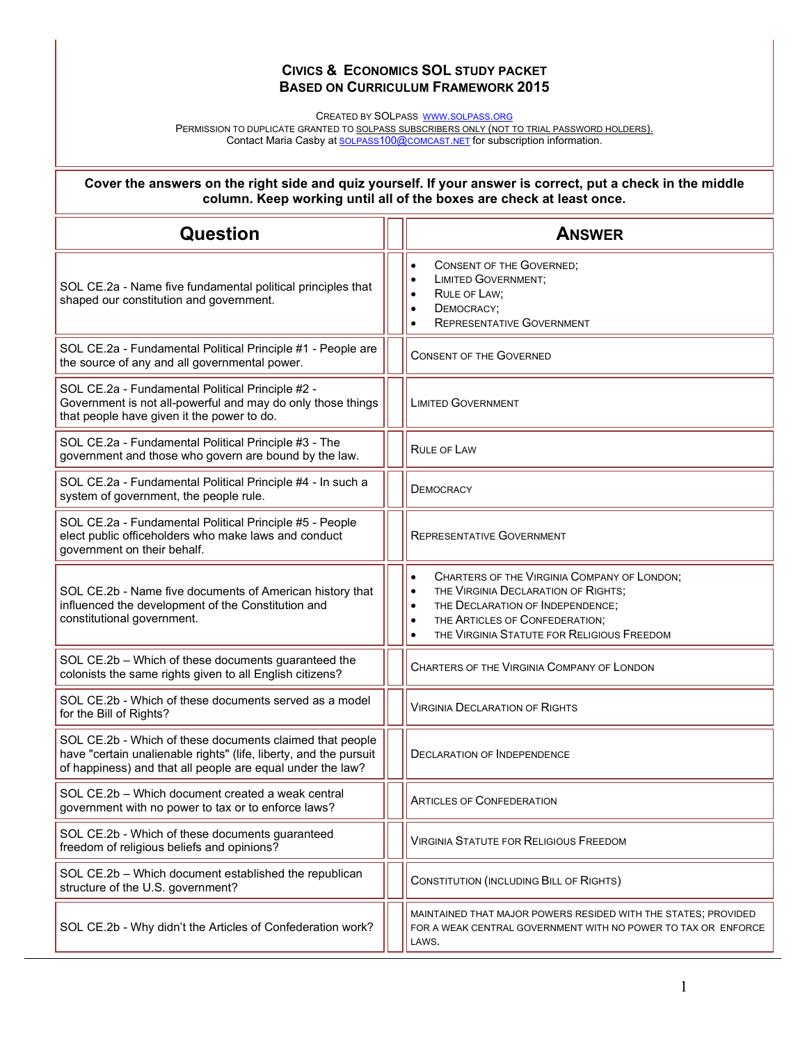## **CIVICS & ECONOMICS SOL STUDY PACKET BASED ON CURRICULUM FRAMEWORK 2015**

CREATED BY SOLPASS [WWW.SOLPASS.ORG](http://www.solpass.org/)

PERMISSION TO DUPLICATE GRANTED TO SOLPASS SUBSCRIBERS ONLY (NOT TO TRIAL PASSWORD HOLDERS). Contact Maria Casby at <u>so∟PAss100@cомсаsт.nEт</u> for subscription information.

| Cover the answers on the right side and quiz yourself. If your answer is correct, put a check in the middle<br>column. Keep working until all of the boxes are check at least once.         |                                                                                                                                                                                                                                                                         |  |  |
|---------------------------------------------------------------------------------------------------------------------------------------------------------------------------------------------|-------------------------------------------------------------------------------------------------------------------------------------------------------------------------------------------------------------------------------------------------------------------------|--|--|
| <b>Question</b>                                                                                                                                                                             | <b>ANSWER</b>                                                                                                                                                                                                                                                           |  |  |
| SOL CE.2a - Name five fundamental political principles that<br>shaped our constitution and government.                                                                                      | <b>CONSENT OF THE GOVERNED:</b><br>$\bullet$<br><b>LIMITED GOVERNMENT;</b><br>$\bullet$<br>RULE OF LAW;<br>$\bullet$<br>DEMOCRACY;<br>$\bullet$<br><b>REPRESENTATIVE GOVERNMENT</b>                                                                                     |  |  |
| SOL CE.2a - Fundamental Political Principle #1 - People are<br>the source of any and all governmental power.                                                                                | <b>CONSENT OF THE GOVERNED</b>                                                                                                                                                                                                                                          |  |  |
| SOL CE.2a - Fundamental Political Principle #2 -<br>Government is not all-powerful and may do only those things<br>that people have given it the power to do.                               | <b>LIMITED GOVERNMENT</b>                                                                                                                                                                                                                                               |  |  |
| SOL CE.2a - Fundamental Political Principle #3 - The<br>government and those who govern are bound by the law.                                                                               | <b>RULE OF LAW</b>                                                                                                                                                                                                                                                      |  |  |
| SOL CE.2a - Fundamental Political Principle #4 - In such a<br>system of government, the people rule.                                                                                        | <b>DEMOCRACY</b>                                                                                                                                                                                                                                                        |  |  |
| SOL CE.2a - Fundamental Political Principle #5 - People<br>elect public officeholders who make laws and conduct<br>government on their behalf.                                              | <b>REPRESENTATIVE GOVERNMENT</b>                                                                                                                                                                                                                                        |  |  |
| SOL CE.2b - Name five documents of American history that<br>influenced the development of the Constitution and<br>constitutional government.                                                | CHARTERS OF THE VIRGINIA COMPANY OF LONDON;<br>$\bullet$<br>THE VIRGINIA DECLARATION OF RIGHTS;<br>$\bullet$<br>THE DECLARATION OF INDEPENDENCE;<br>$\bullet$<br>THE ARTICLES OF CONFEDERATION;<br>$\bullet$<br>THE VIRGINIA STATUTE FOR RELIGIOUS FREEDOM<br>$\bullet$ |  |  |
| SOL CE.2b - Which of these documents guaranteed the<br>colonists the same rights given to all English citizens?                                                                             | CHARTERS OF THE VIRGINIA COMPANY OF LONDON                                                                                                                                                                                                                              |  |  |
| SOL CE.2b - Which of these documents served as a model<br>for the Bill of Rights?                                                                                                           | <b>VIRGINIA DECLARATION OF RIGHTS</b>                                                                                                                                                                                                                                   |  |  |
| SOL CE.2b - Which of these documents claimed that people<br>have "certain unalienable rights" (life, liberty, and the pursuit<br>of happiness) and that all people are equal under the law? | <b>DECLARATION OF INDEPENDENCE</b>                                                                                                                                                                                                                                      |  |  |
| SOL CE.2b - Which document created a weak central<br>government with no power to tax or to enforce laws?                                                                                    | <b>ARTICLES OF CONFEDERATION</b>                                                                                                                                                                                                                                        |  |  |
| SOL CE.2b - Which of these documents guaranteed<br>freedom of religious beliefs and opinions?                                                                                               | <b>VIRGINIA STATUTE FOR RELIGIOUS FREEDOM</b>                                                                                                                                                                                                                           |  |  |
| SOL CE.2b - Which document established the republican<br>structure of the U.S. government?                                                                                                  | CONSTITUTION (INCLUDING BILL OF RIGHTS)                                                                                                                                                                                                                                 |  |  |
| SOL CE.2b - Why didn't the Articles of Confederation work?                                                                                                                                  | MAINTAINED THAT MAJOR POWERS RESIDED WITH THE STATES; PROVIDED<br>FOR A WEAK CENTRAL GOVERNMENT WITH NO POWER TO TAX OR ENFORCE<br>LAWS.                                                                                                                                |  |  |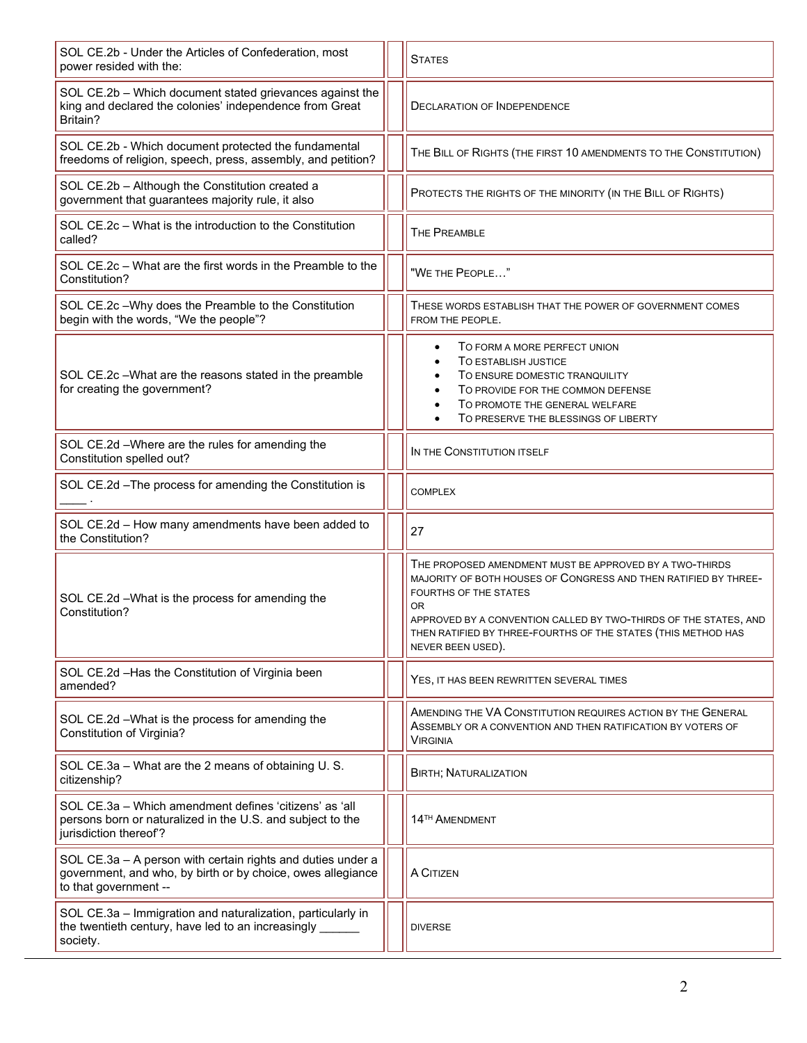| SOL CE.2b - Under the Articles of Confederation, most<br>power resided with the:                                                                    | <b>STATES</b>                                                                                                                                                                                                                                                                                                              |
|-----------------------------------------------------------------------------------------------------------------------------------------------------|----------------------------------------------------------------------------------------------------------------------------------------------------------------------------------------------------------------------------------------------------------------------------------------------------------------------------|
| SOL CE.2b - Which document stated grievances against the<br>king and declared the colonies' independence from Great<br>Britain?                     | <b>DECLARATION OF INDEPENDENCE</b>                                                                                                                                                                                                                                                                                         |
| SOL CE.2b - Which document protected the fundamental<br>freedoms of religion, speech, press, assembly, and petition?                                | THE BILL OF RIGHTS (THE FIRST 10 AMENDMENTS TO THE CONSTITUTION)                                                                                                                                                                                                                                                           |
| SOL CE.2b - Although the Constitution created a<br>government that guarantees majority rule, it also                                                | PROTECTS THE RIGHTS OF THE MINORITY (IN THE BILL OF RIGHTS)                                                                                                                                                                                                                                                                |
| SOL CE.2c - What is the introduction to the Constitution<br>called?                                                                                 | <b>THE PREAMBLE</b>                                                                                                                                                                                                                                                                                                        |
| SOL CE.2c - What are the first words in the Preamble to the<br>Constitution?                                                                        | "WE THE PEOPLE"                                                                                                                                                                                                                                                                                                            |
| SOL CE.2c-Why does the Preamble to the Constitution<br>begin with the words, "We the people"?                                                       | THESE WORDS ESTABLISH THAT THE POWER OF GOVERNMENT COMES<br>FROM THE PEOPLE.                                                                                                                                                                                                                                               |
| SOL CE.2c - What are the reasons stated in the preamble<br>for creating the government?                                                             | TO FORM A MORE PERFECT UNION<br>TO ESTABLISH JUSTICE<br>TO ENSURE DOMESTIC TRANQUILITY<br>TO PROVIDE FOR THE COMMON DEFENSE<br>TO PROMOTE THE GENERAL WELFARE<br>TO PRESERVE THE BLESSINGS OF LIBERTY                                                                                                                      |
| SOL CE.2d - Where are the rules for amending the<br>Constitution spelled out?                                                                       | IN THE CONSTITUTION ITSELF                                                                                                                                                                                                                                                                                                 |
| SOL CE.2d - The process for amending the Constitution is                                                                                            | <b>COMPLEX</b>                                                                                                                                                                                                                                                                                                             |
| SOL CE.2d - How many amendments have been added to<br>the Constitution?                                                                             | 27                                                                                                                                                                                                                                                                                                                         |
| SOL CE.2d - What is the process for amending the<br>Constitution?                                                                                   | THE PROPOSED AMENDMENT MUST BE APPROVED BY A TWO-THIRDS<br>MAJORITY OF BOTH HOUSES OF CONGRESS AND THEN RATIFIED BY THREE-<br>FOURTHS OF THE STATES<br><b>OR</b><br>APPROVED BY A CONVENTION CALLED BY TWO-THIRDS OF THE STATES, AND<br>THEN RATIFIED BY THREE-FOURTHS OF THE STATES (THIS METHOD HAS<br>NEVER BEEN USED). |
| SOL CE.2d - Has the Constitution of Virginia been<br>amended?                                                                                       | YES, IT HAS BEEN REWRITTEN SEVERAL TIMES                                                                                                                                                                                                                                                                                   |
| SOL CE.2d - What is the process for amending the<br>Constitution of Virginia?                                                                       | AMENDING THE VA CONSTITUTION REQUIRES ACTION BY THE GENERAL<br>ASSEMBLY OR A CONVENTION AND THEN RATIFICATION BY VOTERS OF<br><b>VIRGINIA</b>                                                                                                                                                                              |
| SOL CE.3a - What are the 2 means of obtaining U.S.<br>citizenship?                                                                                  | <b>BIRTH; NATURALIZATION</b>                                                                                                                                                                                                                                                                                               |
| SOL CE.3a - Which amendment defines 'citizens' as 'all<br>persons born or naturalized in the U.S. and subject to the<br>jurisdiction thereof?       | 14 <sup>TH</sup> AMENDMENT                                                                                                                                                                                                                                                                                                 |
| SOL CE.3a - A person with certain rights and duties under a<br>government, and who, by birth or by choice, owes allegiance<br>to that government -- | A CITIZEN                                                                                                                                                                                                                                                                                                                  |
| SOL CE.3a - Immigration and naturalization, particularly in<br>the twentieth century, have led to an increasingly<br>society.                       | <b>DIVERSE</b>                                                                                                                                                                                                                                                                                                             |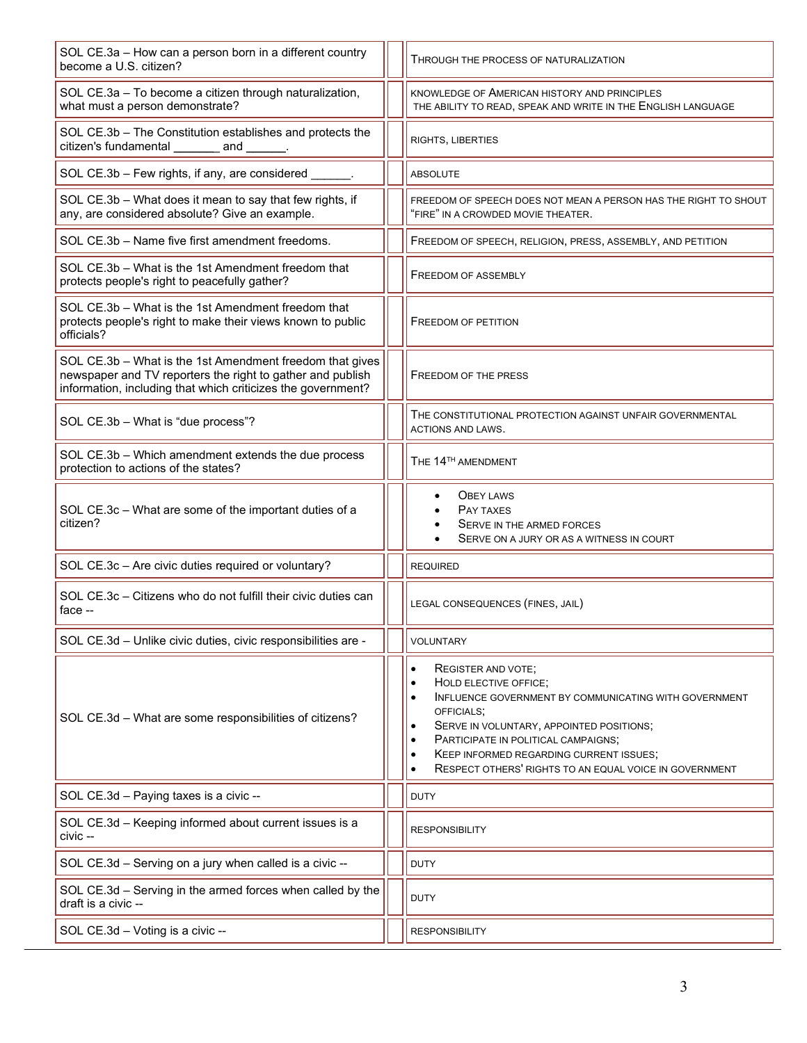| SOL CE.3a - How can a person born in a different country<br>become a U.S. citizen?                                                                                                     | THROUGH THE PROCESS OF NATURALIZATION                                                                                                                                                                                                                                                                                                                                 |
|----------------------------------------------------------------------------------------------------------------------------------------------------------------------------------------|-----------------------------------------------------------------------------------------------------------------------------------------------------------------------------------------------------------------------------------------------------------------------------------------------------------------------------------------------------------------------|
| SOL CE.3a - To become a citizen through naturalization,<br>what must a person demonstrate?                                                                                             | KNOWLEDGE OF AMERICAN HISTORY AND PRINCIPLES<br>THE ABILITY TO READ, SPEAK AND WRITE IN THE ENGLISH LANGUAGE                                                                                                                                                                                                                                                          |
| SOL CE.3b - The Constitution establishes and protects the<br>citizen's fundamental ________ and ______.                                                                                | RIGHTS, LIBERTIES                                                                                                                                                                                                                                                                                                                                                     |
| SOL CE.3b - Few rights, if any, are considered                                                                                                                                         | <b>ABSOLUTE</b>                                                                                                                                                                                                                                                                                                                                                       |
| SOL CE.3b - What does it mean to say that few rights, if<br>any, are considered absolute? Give an example.                                                                             | FREEDOM OF SPEECH DOES NOT MEAN A PERSON HAS THE RIGHT TO SHOUT<br>"FIRE" IN A CROWDED MOVIE THEATER.                                                                                                                                                                                                                                                                 |
| SOL CE.3b - Name five first amendment freedoms.                                                                                                                                        | FREEDOM OF SPEECH, RELIGION, PRESS, ASSEMBLY, AND PETITION                                                                                                                                                                                                                                                                                                            |
| SOL CE.3b - What is the 1st Amendment freedom that<br>protects people's right to peacefully gather?                                                                                    | <b>FREEDOM OF ASSEMBLY</b>                                                                                                                                                                                                                                                                                                                                            |
| SOL CE.3b - What is the 1st Amendment freedom that<br>protects people's right to make their views known to public<br>officials?                                                        | <b>FREEDOM OF PETITION</b>                                                                                                                                                                                                                                                                                                                                            |
| SOL CE.3b - What is the 1st Amendment freedom that gives<br>newspaper and TV reporters the right to gather and publish<br>information, including that which criticizes the government? | FREEDOM OF THE PRESS                                                                                                                                                                                                                                                                                                                                                  |
| SOL CE.3b - What is "due process"?                                                                                                                                                     | THE CONSTITUTIONAL PROTECTION AGAINST UNFAIR GOVERNMENTAL<br>ACTIONS AND LAWS.                                                                                                                                                                                                                                                                                        |
| SOL CE.3b - Which amendment extends the due process<br>protection to actions of the states?                                                                                            | THE 14TH AMENDMENT                                                                                                                                                                                                                                                                                                                                                    |
| SOL CE.3c - What are some of the important duties of a<br>citizen?                                                                                                                     | <b>OBEY LAWS</b><br><b>PAY TAXES</b><br>SERVE IN THE ARMED FORCES<br>SERVE ON A JURY OR AS A WITNESS IN COURT                                                                                                                                                                                                                                                         |
| SOL CE.3c - Are civic duties required or voluntary?                                                                                                                                    | <b>REQUIRED</b>                                                                                                                                                                                                                                                                                                                                                       |
| SOL CE.3c - Citizens who do not fulfill their civic duties can<br>face --                                                                                                              | LEGAL CONSEQUENCES (FINES, JAIL)                                                                                                                                                                                                                                                                                                                                      |
| SOL CE.3d - Unlike civic duties, civic responsibilities are -                                                                                                                          | <b>VOLUNTARY</b>                                                                                                                                                                                                                                                                                                                                                      |
| SOL CE.3d - What are some responsibilities of citizens?                                                                                                                                | <b>REGISTER AND VOTE;</b><br>$\bullet$<br>HOLD ELECTIVE OFFICE;<br>$\bullet$<br>INFLUENCE GOVERNMENT BY COMMUNICATING WITH GOVERNMENT<br>OFFICIALS;<br>SERVE IN VOLUNTARY, APPOINTED POSITIONS;<br>PARTICIPATE IN POLITICAL CAMPAIGNS;<br>$\bullet$<br>KEEP INFORMED REGARDING CURRENT ISSUES;<br>$\bullet$<br>RESPECT OTHERS' RIGHTS TO AN EQUAL VOICE IN GOVERNMENT |
| SOL CE.3d - Paying taxes is a civic --                                                                                                                                                 | <b>DUTY</b>                                                                                                                                                                                                                                                                                                                                                           |
| SOL CE.3d - Keeping informed about current issues is a<br>civic --                                                                                                                     | <b>RESPONSIBILITY</b>                                                                                                                                                                                                                                                                                                                                                 |
| SOL CE.3d - Serving on a jury when called is a civic --                                                                                                                                | <b>DUTY</b>                                                                                                                                                                                                                                                                                                                                                           |
| SOL CE.3d - Serving in the armed forces when called by the<br>draft is a civic --                                                                                                      | <b>DUTY</b>                                                                                                                                                                                                                                                                                                                                                           |
| SOL CE.3d - Voting is a civic --                                                                                                                                                       | <b>RESPONSIBILITY</b>                                                                                                                                                                                                                                                                                                                                                 |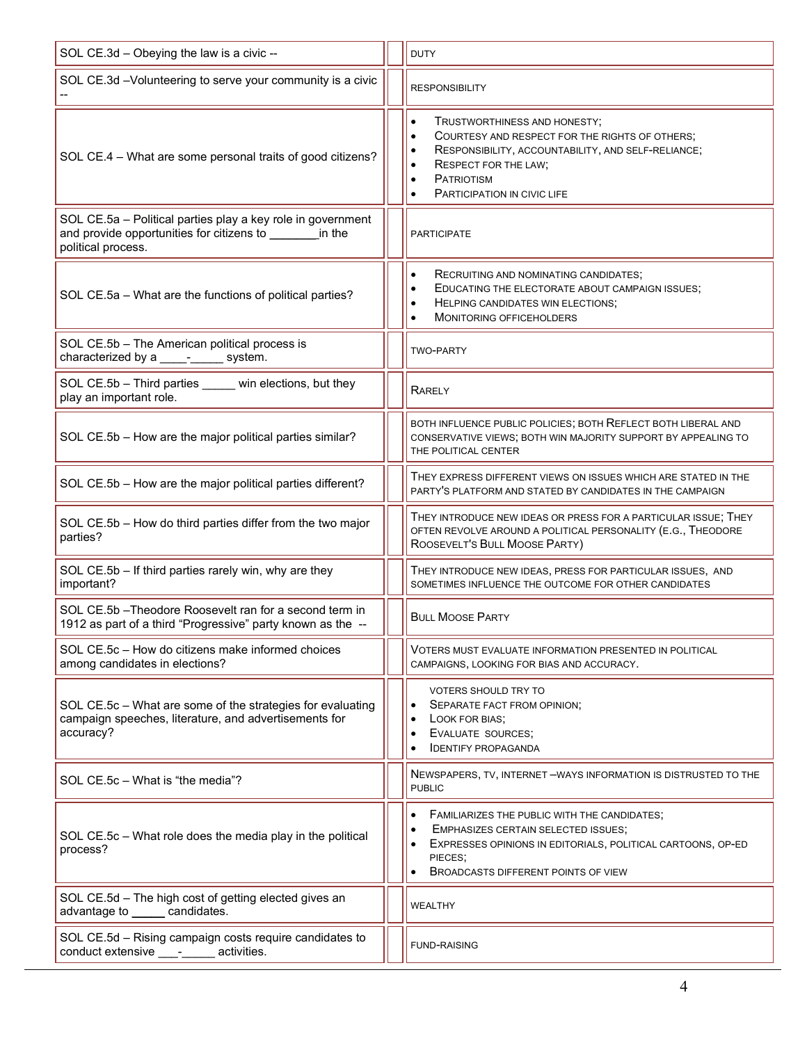| SOL CE.3d - Obeying the law is a civic --                                                                                                        | <b>DUTY</b>                                                                                                                                                                                                                                                                      |
|--------------------------------------------------------------------------------------------------------------------------------------------------|----------------------------------------------------------------------------------------------------------------------------------------------------------------------------------------------------------------------------------------------------------------------------------|
| SOL CE.3d - Volunteering to serve your community is a civic                                                                                      | <b>RESPONSIBILITY</b>                                                                                                                                                                                                                                                            |
| SOL CE.4 - What are some personal traits of good citizens?                                                                                       | TRUSTWORTHINESS AND HONESTY;<br>$\bullet$<br>COURTESY AND RESPECT FOR THE RIGHTS OF OTHERS;<br>$\bullet$<br>RESPONSIBILITY, ACCOUNTABILITY, AND SELF-RELIANCE;<br>٠<br><b>RESPECT FOR THE LAW;</b><br>$\bullet$<br><b>PATRIOTISM</b><br>$\bullet$<br>PARTICIPATION IN CIVIC LIFE |
| SOL CE.5a - Political parties play a key role in government<br>and provide opportunities for citizens to __________ in the<br>political process. | <b>PARTICIPATE</b>                                                                                                                                                                                                                                                               |
| SOL CE.5a - What are the functions of political parties?                                                                                         | RECRUITING AND NOMINATING CANDIDATES;<br>$\bullet$<br>EDUCATING THE ELECTORATE ABOUT CAMPAIGN ISSUES;<br>٠<br>HELPING CANDIDATES WIN ELECTIONS;<br><b>MONITORING OFFICEHOLDERS</b>                                                                                               |
| SOL CE.5b - The American political process is<br>characterized by a ______________ system.                                                       | <b>TWO-PARTY</b>                                                                                                                                                                                                                                                                 |
| SOL CE.5b - Third parties _____ win elections, but they<br>play an important role.                                                               | RARELY                                                                                                                                                                                                                                                                           |
| SOL CE.5b - How are the major political parties similar?                                                                                         | BOTH INFLUENCE PUBLIC POLICIES; BOTH REFLECT BOTH LIBERAL AND<br>CONSERVATIVE VIEWS; BOTH WIN MAJORITY SUPPORT BY APPEALING TO<br>THE POLITICAL CENTER                                                                                                                           |
| SOL CE.5b - How are the major political parties different?                                                                                       | THEY EXPRESS DIFFERENT VIEWS ON ISSUES WHICH ARE STATED IN THE<br>PARTY'S PLATFORM AND STATED BY CANDIDATES IN THE CAMPAIGN                                                                                                                                                      |
| SOL CE.5b - How do third parties differ from the two major<br>parties?                                                                           | THEY INTRODUCE NEW IDEAS OR PRESS FOR A PARTICULAR ISSUE; THEY<br>OFTEN REVOLVE AROUND A POLITICAL PERSONALITY (E.G., THEODORE<br>ROOSEVELT'S BULL MOOSE PARTY)                                                                                                                  |
| SOL CE.5b - If third parties rarely win, why are they<br>important?                                                                              | THEY INTRODUCE NEW IDEAS, PRESS FOR PARTICULAR ISSUES, AND<br>SOMETIMES INFLUENCE THE OUTCOME FOR OTHER CANDIDATES                                                                                                                                                               |
| SOL CE.5b - Theodore Roosevelt ran for a second term in<br>1912 as part of a third "Progressive" party known as the --                           | <b>BULL MOOSE PARTY</b>                                                                                                                                                                                                                                                          |
| SOL CE.5c - How do citizens make informed choices<br>among candidates in elections?                                                              | VOTERS MUST EVALUATE INFORMATION PRESENTED IN POLITICAL<br>CAMPAIGNS, LOOKING FOR BIAS AND ACCURACY.                                                                                                                                                                             |
| SOL CE.5c - What are some of the strategies for evaluating<br>campaign speeches, literature, and advertisements for<br>accuracy?                 | <b>VOTERS SHOULD TRY TO</b><br>SEPARATE FACT FROM OPINION;<br>$\bullet$<br>LOOK FOR BIAS;<br>$\bullet$<br>EVALUATE SOURCES;<br>$\bullet$<br><b>IDENTIFY PROPAGANDA</b><br>$\bullet$                                                                                              |
| SOL CE.5c - What is "the media"?                                                                                                                 | NEWSPAPERS, TV, INTERNET - WAYS INFORMATION IS DISTRUSTED TO THE<br><b>PUBLIC</b>                                                                                                                                                                                                |
| SOL CE.5c - What role does the media play in the political<br>process?                                                                           | FAMILIARIZES THE PUBLIC WITH THE CANDIDATES;<br>٠<br>EMPHASIZES CERTAIN SELECTED ISSUES;<br>EXPRESSES OPINIONS IN EDITORIALS, POLITICAL CARTOONS, OP-ED<br>$\bullet$<br>PIECES;<br>BROADCASTS DIFFERENT POINTS OF VIEW                                                           |
| SOL CE.5d - The high cost of getting elected gives an<br>advantage to ______ candidates.                                                         | <b>WEALTHY</b>                                                                                                                                                                                                                                                                   |
| SOL CE.5d - Rising campaign costs require candidates to<br>conduct extensive -<br>activities.                                                    | <b>FUND-RAISING</b>                                                                                                                                                                                                                                                              |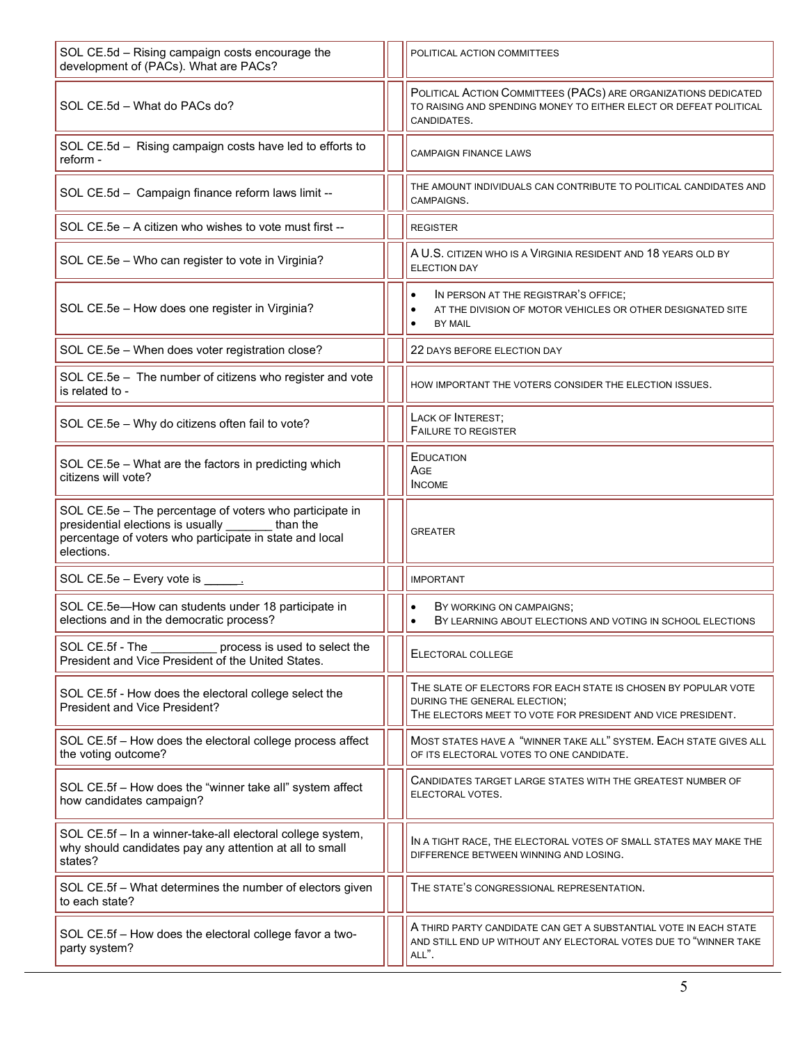| SOL CE.5d - Rising campaign costs encourage the<br>development of (PACs). What are PACs?                                                                                          | POLITICAL ACTION COMMITTEES                                                                                                                                   |
|-----------------------------------------------------------------------------------------------------------------------------------------------------------------------------------|---------------------------------------------------------------------------------------------------------------------------------------------------------------|
| SOL CE.5d - What do PACs do?                                                                                                                                                      | POLITICAL ACTION COMMITTEES (PACS) ARE ORGANIZATIONS DEDICATED<br>TO RAISING AND SPENDING MONEY TO EITHER ELECT OR DEFEAT POLITICAL<br>CANDIDATES.            |
| SOL CE.5d - Rising campaign costs have led to efforts to<br>reform -                                                                                                              | <b>CAMPAIGN FINANCE LAWS</b>                                                                                                                                  |
| SOL CE.5d - Campaign finance reform laws limit --                                                                                                                                 | THE AMOUNT INDIVIDUALS CAN CONTRIBUTE TO POLITICAL CANDIDATES AND<br>CAMPAIGNS.                                                                               |
| SOL CE.5e - A citizen who wishes to vote must first --                                                                                                                            | <b>REGISTER</b>                                                                                                                                               |
| SOL CE.5e - Who can register to vote in Virginia?                                                                                                                                 | A U.S. CITIZEN WHO IS A VIRGINIA RESIDENT AND 18 YEARS OLD BY<br><b>ELECTION DAY</b>                                                                          |
| SOL CE.5e - How does one register in Virginia?                                                                                                                                    | IN PERSON AT THE REGISTRAR'S OFFICE;<br>AT THE DIVISION OF MOTOR VEHICLES OR OTHER DESIGNATED SITE<br>BY MAIL                                                 |
| SOL CE.5e - When does voter registration close?                                                                                                                                   | 22 DAYS BEFORE ELECTION DAY                                                                                                                                   |
| SOL CE.5e - The number of citizens who register and vote<br>is related to -                                                                                                       | HOW IMPORTANT THE VOTERS CONSIDER THE ELECTION ISSUES.                                                                                                        |
| SOL CE.5e - Why do citizens often fail to vote?                                                                                                                                   | LACK OF INTEREST;<br><b>FAILURE TO REGISTER</b>                                                                                                               |
| SOL CE.5e - What are the factors in predicting which<br>citizens will vote?                                                                                                       | EDUCATION<br>AGE<br><b>INCOME</b>                                                                                                                             |
| SOL CE.5e - The percentage of voters who participate in<br>presidential elections is usually<br>than the<br>percentage of voters who participate in state and local<br>elections. | <b>GREATER</b>                                                                                                                                                |
| SOL CE.5e $-$ Every vote is $\underline{\qquad \qquad }$ .                                                                                                                        | <b>IMPORTANT</b>                                                                                                                                              |
| SOL CE.5e-How can students under 18 participate in<br>elections and in the democratic process?                                                                                    | BY WORKING ON CAMPAIGNS;<br>BY LEARNING ABOUT ELECTIONS AND VOTING IN SCHOOL ELECTIONS                                                                        |
| SOL CE.5f - The process is used to select the<br>President and Vice President of the United States.                                                                               | ELECTORAL COLLEGE                                                                                                                                             |
| SOL CE.5f - How does the electoral college select the<br>President and Vice President?                                                                                            | THE SLATE OF ELECTORS FOR EACH STATE IS CHOSEN BY POPULAR VOTE<br>DURING THE GENERAL ELECTION;<br>THE ELECTORS MEET TO VOTE FOR PRESIDENT AND VICE PRESIDENT. |
| SOL CE.5f - How does the electoral college process affect<br>the voting outcome?                                                                                                  | MOST STATES HAVE A "WINNER TAKE ALL" SYSTEM. EACH STATE GIVES ALL<br>OF ITS ELECTORAL VOTES TO ONE CANDIDATE.                                                 |
| SOL CE.5f - How does the "winner take all" system affect<br>how candidates campaign?                                                                                              | CANDIDATES TARGET LARGE STATES WITH THE GREATEST NUMBER OF<br>ELECTORAL VOTES.                                                                                |
| SOL CE.5f - In a winner-take-all electoral college system,<br>why should candidates pay any attention at all to small<br>states?                                                  | IN A TIGHT RACE, THE ELECTORAL VOTES OF SMALL STATES MAY MAKE THE<br>DIFFERENCE BETWEEN WINNING AND LOSING.                                                   |
| SOL CE.5f - What determines the number of electors given<br>to each state?                                                                                                        | THE STATE'S CONGRESSIONAL REPRESENTATION.                                                                                                                     |
| SOL CE.5f - How does the electoral college favor a two-<br>party system?                                                                                                          | A THIRD PARTY CANDIDATE CAN GET A SUBSTANTIAL VOTE IN EACH STATE<br>AND STILL END UP WITHOUT ANY ELECTORAL VOTES DUE TO "WINNER TAKE<br>ALL".                 |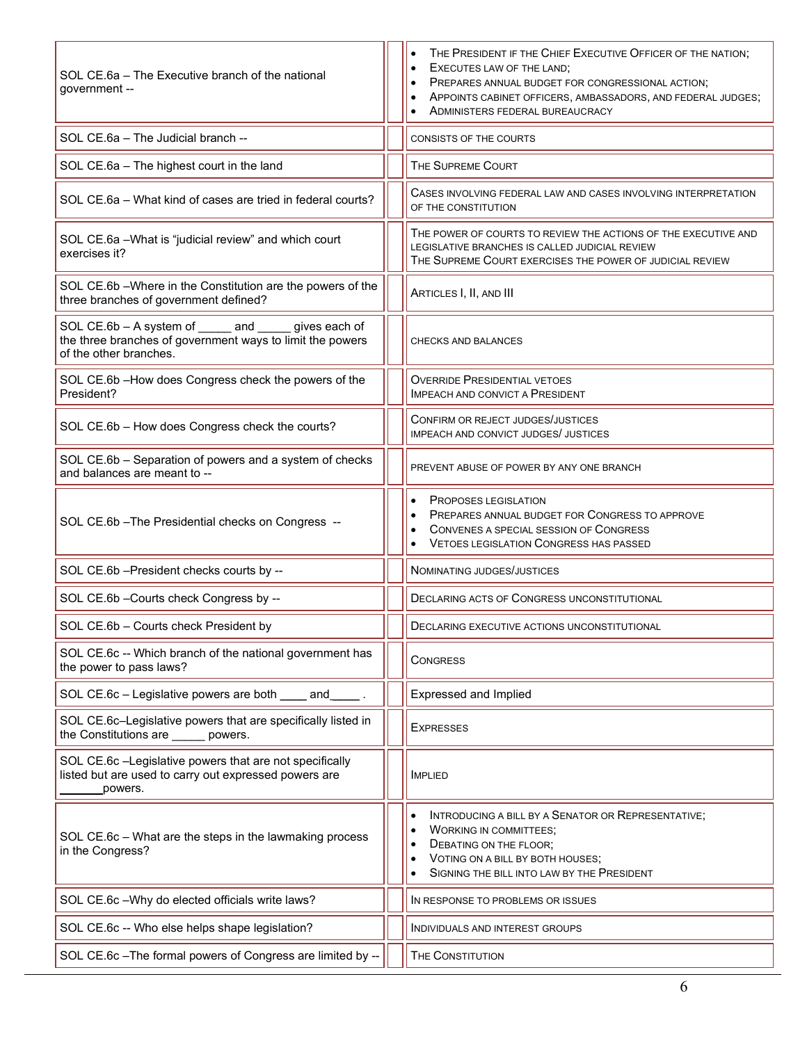| SOL CE.6a – The Executive branch of the national<br>government --                                                                            | THE PRESIDENT IF THE CHIEF EXECUTIVE OFFICER OF THE NATION;<br>EXECUTES LAW OF THE LAND;<br>PREPARES ANNUAL BUDGET FOR CONGRESSIONAL ACTION;<br>APPOINTS CABINET OFFICERS, AMBASSADORS, AND FEDERAL JUDGES;<br>ADMINISTERS FEDERAL BUREAUCRACY |
|----------------------------------------------------------------------------------------------------------------------------------------------|------------------------------------------------------------------------------------------------------------------------------------------------------------------------------------------------------------------------------------------------|
| SOL CE.6a - The Judicial branch --                                                                                                           | CONSISTS OF THE COURTS                                                                                                                                                                                                                         |
| SOL CE.6a - The highest court in the land                                                                                                    | THE SUPREME COURT                                                                                                                                                                                                                              |
| SOL CE.6a - What kind of cases are tried in federal courts?                                                                                  | CASES INVOLVING FEDERAL LAW AND CASES INVOLVING INTERPRETATION<br>OF THE CONSTITUTION                                                                                                                                                          |
| SOL CE.6a - What is "judicial review" and which court<br>exercises it?                                                                       | THE POWER OF COURTS TO REVIEW THE ACTIONS OF THE EXECUTIVE AND<br>LEGISLATIVE BRANCHES IS CALLED JUDICIAL REVIEW<br>THE SUPREME COURT EXERCISES THE POWER OF JUDICIAL REVIEW                                                                   |
| SOL CE.6b - Where in the Constitution are the powers of the<br>three branches of government defined?                                         | ARTICLES I, II, AND III                                                                                                                                                                                                                        |
| SOL CE.6b - A system of _____ and _____ gives each of<br>the three branches of government ways to limit the powers<br>of the other branches. | CHECKS AND BALANCES                                                                                                                                                                                                                            |
| SOL CE.6b -How does Congress check the powers of the<br>President?                                                                           | <b>OVERRIDE PRESIDENTIAL VETOES</b><br><b>IMPEACH AND CONVICT A PRESIDENT</b>                                                                                                                                                                  |
| SOL CE.6b - How does Congress check the courts?                                                                                              | CONFIRM OR REJECT JUDGES/JUSTICES<br>IMPEACH AND CONVICT JUDGES/ JUSTICES                                                                                                                                                                      |
| SOL CE.6b - Separation of powers and a system of checks<br>and balances are meant to --                                                      | PREVENT ABUSE OF POWER BY ANY ONE BRANCH                                                                                                                                                                                                       |
| SOL CE.6b - The Presidential checks on Congress --                                                                                           | PROPOSES LEGISLATION<br>PREPARES ANNUAL BUDGET FOR CONGRESS TO APPROVE<br>CONVENES A SPECIAL SESSION OF CONGRESS<br><b>VETOES LEGISLATION CONGRESS HAS PASSED</b>                                                                              |
| SOL CE.6b - President checks courts by --                                                                                                    | NOMINATING JUDGES/JUSTICES                                                                                                                                                                                                                     |
| SOL CE.6b - Courts check Congress by --                                                                                                      | <b>DECLARING ACTS OF CONGRESS UNCONSTITUTIONAL</b>                                                                                                                                                                                             |
| SOL CE.6b - Courts check President by                                                                                                        | DECLARING EXECUTIVE ACTIONS UNCONSTITUTIONAL                                                                                                                                                                                                   |
| SOL CE.6c -- Which branch of the national government has<br>the power to pass laws?                                                          | <b>CONGRESS</b>                                                                                                                                                                                                                                |
| SOL CE.6c - Legislative powers are both ____ and                                                                                             | <b>Expressed and Implied</b>                                                                                                                                                                                                                   |
| SOL CE.6c-Legislative powers that are specifically listed in<br>the Constitutions are<br>powers.                                             | <b>EXPRESSES</b>                                                                                                                                                                                                                               |
| SOL CE.6c-Legislative powers that are not specifically<br>listed but are used to carry out expressed powers are<br>powers.                   | <b>IMPLIED</b>                                                                                                                                                                                                                                 |
| SOL CE.6c - What are the steps in the lawmaking process<br>in the Congress?                                                                  | INTRODUCING A BILL BY A SENATOR OR REPRESENTATIVE;<br>$\bullet$<br><b>WORKING IN COMMITTEES;</b><br>DEBATING ON THE FLOOR;<br>VOTING ON A BILL BY BOTH HOUSES;<br>SIGNING THE BILL INTO LAW BY THE PRESIDENT                                   |
| SOL CE.6c-Why do elected officials write laws?                                                                                               | IN RESPONSE TO PROBLEMS OR ISSUES                                                                                                                                                                                                              |
| SOL CE.6c -- Who else helps shape legislation?                                                                                               | <b>INDIVIDUALS AND INTEREST GROUPS</b>                                                                                                                                                                                                         |
| SOL CE.6c - The formal powers of Congress are limited by --                                                                                  | THE CONSTITUTION                                                                                                                                                                                                                               |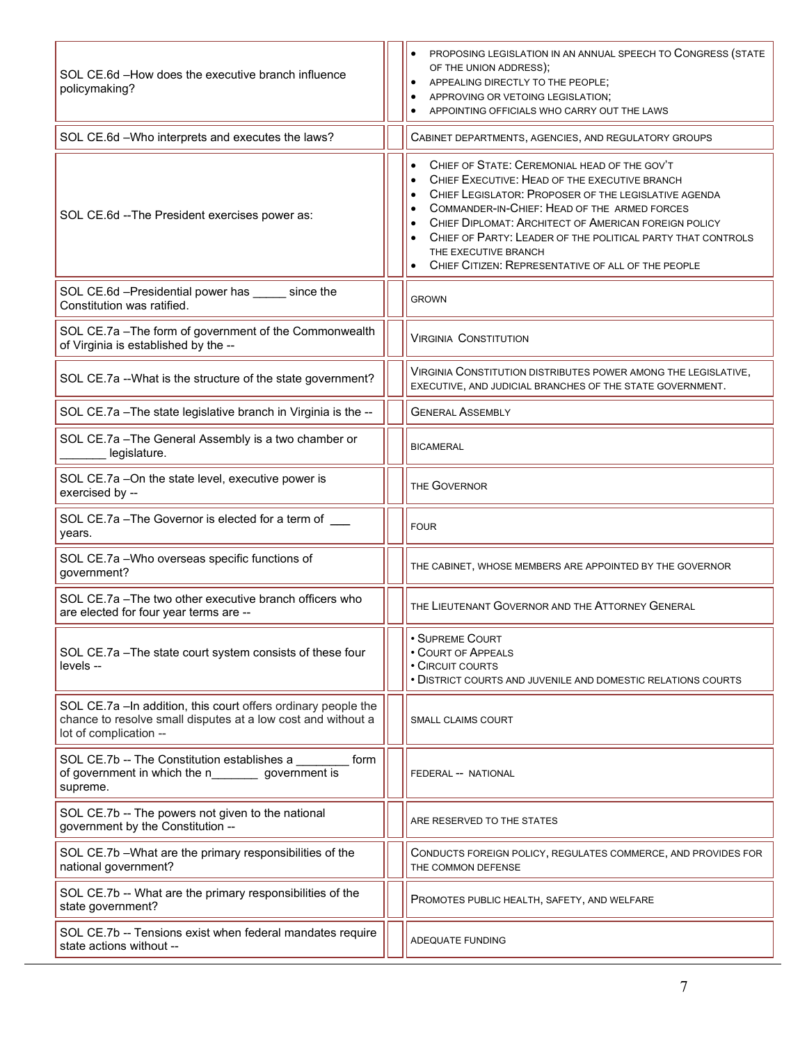| SOL CE.6d -How does the executive branch influence<br>policymaking?                                                                                      | PROPOSING LEGISLATION IN AN ANNUAL SPEECH TO CONGRESS (STATE<br>OF THE UNION ADDRESS);<br>APPEALING DIRECTLY TO THE PEOPLE;<br>APPROVING OR VETOING LEGISLATION;<br>$\bullet$<br>APPOINTING OFFICIALS WHO CARRY OUT THE LAWS                                                                                                                                                                                                                                   |
|----------------------------------------------------------------------------------------------------------------------------------------------------------|----------------------------------------------------------------------------------------------------------------------------------------------------------------------------------------------------------------------------------------------------------------------------------------------------------------------------------------------------------------------------------------------------------------------------------------------------------------|
| SOL CE.6d -Who interprets and executes the laws?                                                                                                         | CABINET DEPARTMENTS, AGENCIES, AND REGULATORY GROUPS                                                                                                                                                                                                                                                                                                                                                                                                           |
| SOL CE.6d -- The President exercises power as:                                                                                                           | CHIEF OF STATE: CEREMONIAL HEAD OF THE GOV'T<br>CHIEF EXECUTIVE: HEAD OF THE EXECUTIVE BRANCH<br>$\bullet$<br>CHIEF LEGISLATOR: PROPOSER OF THE LEGISLATIVE AGENDA<br>COMMANDER-IN-CHIEF: HEAD OF THE ARMED FORCES<br>$\bullet$<br>CHIEF DIPLOMAT: ARCHITECT OF AMERICAN FOREIGN POLICY<br>$\bullet$<br>CHIEF OF PARTY: LEADER OF THE POLITICAL PARTY THAT CONTROLS<br>$\bullet$<br>THE EXECUTIVE BRANCH<br>CHIEF CITIZEN: REPRESENTATIVE OF ALL OF THE PEOPLE |
| SOL CE.6d - Presidential power has _____ since the<br>Constitution was ratified.                                                                         | <b>GROWN</b>                                                                                                                                                                                                                                                                                                                                                                                                                                                   |
| SOL CE.7a - The form of government of the Commonwealth<br>of Virginia is established by the --                                                           | <b>VIRGINIA CONSTITUTION</b>                                                                                                                                                                                                                                                                                                                                                                                                                                   |
| SOL CE.7a -- What is the structure of the state government?                                                                                              | VIRGINIA CONSTITUTION DISTRIBUTES POWER AMONG THE LEGISLATIVE,<br>EXECUTIVE, AND JUDICIAL BRANCHES OF THE STATE GOVERNMENT.                                                                                                                                                                                                                                                                                                                                    |
| SOL CE.7a - The state legislative branch in Virginia is the --                                                                                           | <b>GENERAL ASSEMBLY</b>                                                                                                                                                                                                                                                                                                                                                                                                                                        |
| SOL CE.7a - The General Assembly is a two chamber or<br>legislature.                                                                                     | <b>BICAMERAL</b>                                                                                                                                                                                                                                                                                                                                                                                                                                               |
| SOL CE.7a -On the state level, executive power is<br>exercised by --                                                                                     | THE GOVERNOR                                                                                                                                                                                                                                                                                                                                                                                                                                                   |
| SOL CE.7a - The Governor is elected for a term of ___<br>years.                                                                                          | <b>FOUR</b>                                                                                                                                                                                                                                                                                                                                                                                                                                                    |
| SOL CE.7a - Who overseas specific functions of<br>government?                                                                                            | THE CABINET, WHOSE MEMBERS ARE APPOINTED BY THE GOVERNOR                                                                                                                                                                                                                                                                                                                                                                                                       |
| SOL CE.7a - The two other executive branch officers who<br>are elected for four year terms are --                                                        | THE LIEUTENANT GOVERNOR AND THE ATTORNEY GENERAL                                                                                                                                                                                                                                                                                                                                                                                                               |
| SOL CE.7a - The state court system consists of these four<br>levels --                                                                                   | · SUPREME COURT<br>• COURT OF APPEALS<br>• CIRCUIT COURTS<br>• DISTRICT COURTS AND JUVENILE AND DOMESTIC RELATIONS COURTS                                                                                                                                                                                                                                                                                                                                      |
| SOL CE.7a - In addition, this court offers ordinary people the<br>chance to resolve small disputes at a low cost and without a<br>lot of complication -- | SMALL CLAIMS COURT                                                                                                                                                                                                                                                                                                                                                                                                                                             |
| SOL CE.7b -- The Constitution establishes a<br>form<br>of government in which the n_________ government is<br>supreme.                                   | FEDERAL -- NATIONAL                                                                                                                                                                                                                                                                                                                                                                                                                                            |
| SOL CE.7b -- The powers not given to the national<br>government by the Constitution --                                                                   | ARE RESERVED TO THE STATES                                                                                                                                                                                                                                                                                                                                                                                                                                     |
| SOL CE.7b - What are the primary responsibilities of the<br>national government?                                                                         | CONDUCTS FOREIGN POLICY, REGULATES COMMERCE, AND PROVIDES FOR<br>THE COMMON DEFENSE                                                                                                                                                                                                                                                                                                                                                                            |
| SOL CE.7b -- What are the primary responsibilities of the<br>state government?                                                                           | PROMOTES PUBLIC HEALTH, SAFETY, AND WELFARE                                                                                                                                                                                                                                                                                                                                                                                                                    |
| SOL CE.7b -- Tensions exist when federal mandates require<br>state actions without --                                                                    | ADEQUATE FUNDING                                                                                                                                                                                                                                                                                                                                                                                                                                               |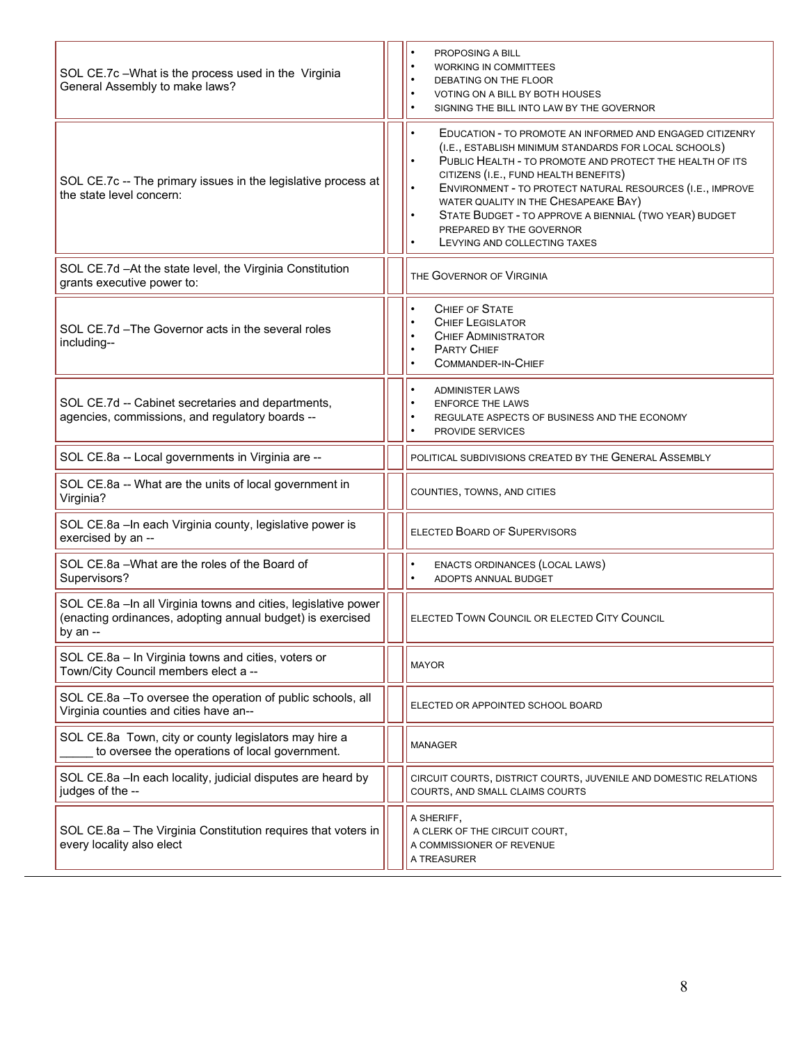| SOL CE.7c - What is the process used in the Virginia<br>General Assembly to make laws?                                                    | PROPOSING A BILL<br><b>WORKING IN COMMITTEES</b><br>DEBATING ON THE FLOOR<br>VOTING ON A BILL BY BOTH HOUSES<br>SIGNING THE BILL INTO LAW BY THE GOVERNOR                                                                                                                                                                                                                                                                                         |
|-------------------------------------------------------------------------------------------------------------------------------------------|---------------------------------------------------------------------------------------------------------------------------------------------------------------------------------------------------------------------------------------------------------------------------------------------------------------------------------------------------------------------------------------------------------------------------------------------------|
| SOL CE.7c -- The primary issues in the legislative process at<br>the state level concern:                                                 | EDUCATION - TO PROMOTE AN INFORMED AND ENGAGED CITIZENRY<br>(I.E., ESTABLISH MINIMUM STANDARDS FOR LOCAL SCHOOLS)<br>PUBLIC HEALTH - TO PROMOTE AND PROTECT THE HEALTH OF ITS<br>CITIZENS (I.E., FUND HEALTH BENEFITS)<br>ENVIRONMENT - TO PROTECT NATURAL RESOURCES (I.E., IMPROVE<br>WATER QUALITY IN THE CHESAPEAKE BAY)<br>STATE BUDGET - TO APPROVE A BIENNIAL (TWO YEAR) BUDGET<br>PREPARED BY THE GOVERNOR<br>LEVYING AND COLLECTING TAXES |
| SOL CE.7d -At the state level, the Virginia Constitution<br>grants executive power to:                                                    | THE GOVERNOR OF VIRGINIA                                                                                                                                                                                                                                                                                                                                                                                                                          |
| SOL CE.7d - The Governor acts in the several roles<br>including--                                                                         | CHIEF OF STATE<br><b>CHIEF LEGISLATOR</b><br><b>CHIEF ADMINISTRATOR</b><br><b>PARTY CHIEF</b><br>$\bullet$<br>COMMANDER-IN-CHIEF                                                                                                                                                                                                                                                                                                                  |
| SOL CE.7d -- Cabinet secretaries and departments,<br>agencies, commissions, and regulatory boards --                                      | <b>ADMINISTER LAWS</b><br><b>ENFORCE THE LAWS</b><br>REGULATE ASPECTS OF BUSINESS AND THE ECONOMY<br>PROVIDE SERVICES                                                                                                                                                                                                                                                                                                                             |
| SOL CE.8a -- Local governments in Virginia are --                                                                                         | POLITICAL SUBDIVISIONS CREATED BY THE GENERAL ASSEMBLY                                                                                                                                                                                                                                                                                                                                                                                            |
| SOL CE.8a -- What are the units of local government in<br>Virginia?                                                                       | COUNTIES, TOWNS, AND CITIES                                                                                                                                                                                                                                                                                                                                                                                                                       |
| SOL CE.8a - In each Virginia county, legislative power is<br>exercised by an --                                                           | ELECTED BOARD OF SUPERVISORS                                                                                                                                                                                                                                                                                                                                                                                                                      |
| SOL CE.8a - What are the roles of the Board of<br>Supervisors?                                                                            | ENACTS ORDINANCES (LOCAL LAWS)<br>ADOPTS ANNUAL BUDGET                                                                                                                                                                                                                                                                                                                                                                                            |
| SOL CE.8a - In all Virginia towns and cities, legislative power<br>(enacting ordinances, adopting annual budget) is exercised<br>by an -- | ELECTED TOWN COUNCIL OR ELECTED CITY COUNCIL                                                                                                                                                                                                                                                                                                                                                                                                      |
| SOL CE.8a - In Virginia towns and cities, voters or<br>Town/City Council members elect a --                                               | <b>MAYOR</b>                                                                                                                                                                                                                                                                                                                                                                                                                                      |
| SOL CE.8a - To oversee the operation of public schools, all<br>Virginia counties and cities have an--                                     | ELECTED OR APPOINTED SCHOOL BOARD                                                                                                                                                                                                                                                                                                                                                                                                                 |
| SOL CE.8a Town, city or county legislators may hire a<br>to oversee the operations of local government.                                   | <b>MANAGER</b>                                                                                                                                                                                                                                                                                                                                                                                                                                    |
| SOL CE.8a - In each locality, judicial disputes are heard by<br>judges of the --                                                          | CIRCUIT COURTS, DISTRICT COURTS, JUVENILE AND DOMESTIC RELATIONS<br>COURTS, AND SMALL CLAIMS COURTS                                                                                                                                                                                                                                                                                                                                               |
| SOL CE.8a - The Virginia Constitution requires that voters in<br>every locality also elect                                                | A SHERIFF,<br>A CLERK OF THE CIRCUIT COURT,<br>A COMMISSIONER OF REVENUE<br>A TREASURER                                                                                                                                                                                                                                                                                                                                                           |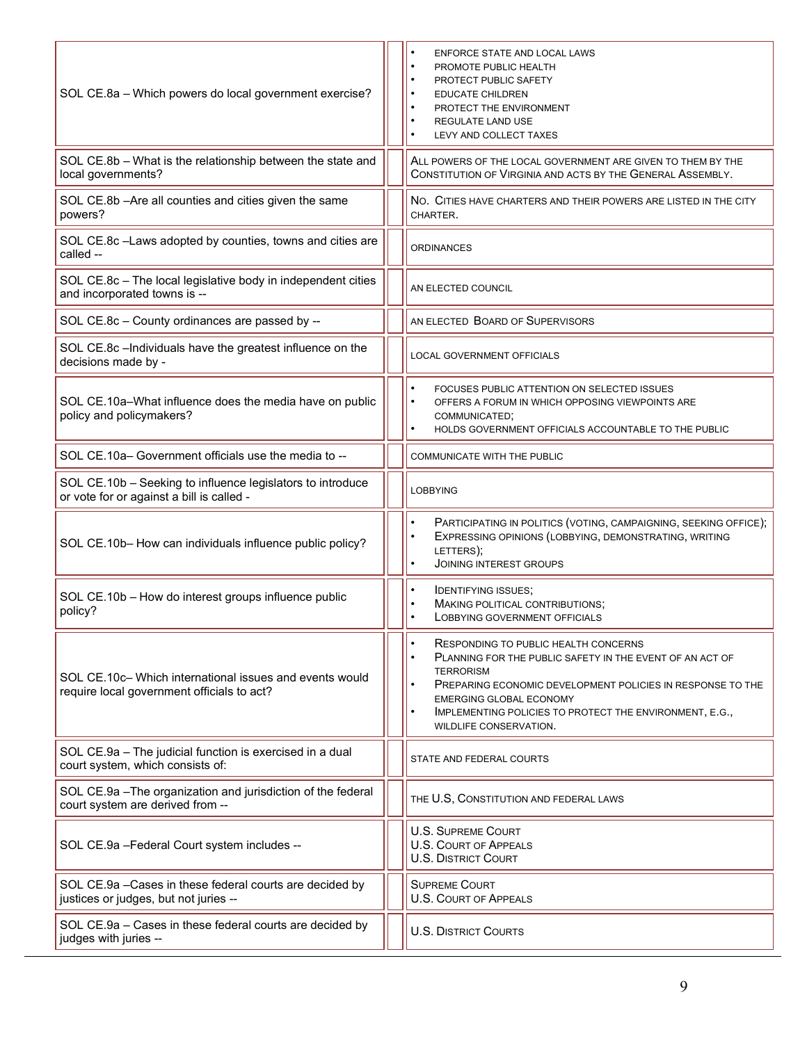| SOL CE.8a - Which powers do local government exercise?                                                  | ENFORCE STATE AND LOCAL LAWS<br>PROMOTE PUBLIC HEALTH<br>$\bullet$<br>PROTECT PUBLIC SAFETY<br><b>EDUCATE CHILDREN</b><br>PROTECT THE ENVIRONMENT<br>REGULATE LAND USE<br>LEVY AND COLLECT TAXES                                                                                                          |
|---------------------------------------------------------------------------------------------------------|-----------------------------------------------------------------------------------------------------------------------------------------------------------------------------------------------------------------------------------------------------------------------------------------------------------|
| SOL CE.8b - What is the relationship between the state and<br>local governments?                        | ALL POWERS OF THE LOCAL GOVERNMENT ARE GIVEN TO THEM BY THE<br>CONSTITUTION OF VIRGINIA AND ACTS BY THE GENERAL ASSEMBLY.                                                                                                                                                                                 |
| SOL CE.8b -Are all counties and cities given the same<br>powers?                                        | NO. CITIES HAVE CHARTERS AND THEIR POWERS ARE LISTED IN THE CITY<br>CHARTER.                                                                                                                                                                                                                              |
| SOL CE.8c-Laws adopted by counties, towns and cities are<br>called --                                   | <b>ORDINANCES</b>                                                                                                                                                                                                                                                                                         |
| SOL CE.8c - The local legislative body in independent cities<br>and incorporated towns is --            | AN ELECTED COUNCIL                                                                                                                                                                                                                                                                                        |
| SOL CE.8c - County ordinances are passed by --                                                          | AN ELECTED BOARD OF SUPERVISORS                                                                                                                                                                                                                                                                           |
| SOL CE.8c - Individuals have the greatest influence on the<br>decisions made by -                       | LOCAL GOVERNMENT OFFICIALS                                                                                                                                                                                                                                                                                |
| SOL CE.10a-What influence does the media have on public<br>policy and policymakers?                     | $\bullet$<br>FOCUSES PUBLIC ATTENTION ON SELECTED ISSUES<br>$\bullet$<br>OFFERS A FORUM IN WHICH OPPOSING VIEWPOINTS ARE<br>COMMUNICATED;<br>HOLDS GOVERNMENT OFFICIALS ACCOUNTABLE TO THE PUBLIC                                                                                                         |
| SOL CE.10a- Government officials use the media to --                                                    | COMMUNICATE WITH THE PUBLIC                                                                                                                                                                                                                                                                               |
| SOL CE.10b - Seeking to influence legislators to introduce<br>or vote for or against a bill is called - | <b>LOBBYING</b>                                                                                                                                                                                                                                                                                           |
| SOL CE.10b- How can individuals influence public policy?                                                | PARTICIPATING IN POLITICS (VOTING, CAMPAIGNING, SEEKING OFFICE);<br>$\bullet$<br>EXPRESSING OPINIONS (LOBBYING, DEMONSTRATING, WRITING<br>$\bullet$<br>LETTERS);<br><b>JOINING INTEREST GROUPS</b>                                                                                                        |
| SOL CE.10b - How do interest groups influence public<br>policy?                                         | <b>IDENTIFYING ISSUES;</b><br>MAKING POLITICAL CONTRIBUTIONS;<br><b>LOBBYING GOVERNMENT OFFICIALS</b>                                                                                                                                                                                                     |
| SOL CE.10c- Which international issues and events would<br>require local government officials to act?   | <b>RESPONDING TO PUBLIC HEALTH CONCERNS</b><br>PLANNING FOR THE PUBLIC SAFETY IN THE EVENT OF AN ACT OF<br><b>TERRORISM</b><br>PREPARING ECONOMIC DEVELOPMENT POLICIES IN RESPONSE TO THE<br>EMERGING GLOBAL ECONOMY<br>IMPLEMENTING POLICIES TO PROTECT THE ENVIRONMENT, E.G.,<br>WILDLIFE CONSERVATION. |
| SOL CE.9a - The judicial function is exercised in a dual<br>court system, which consists of:            | STATE AND FEDERAL COURTS                                                                                                                                                                                                                                                                                  |
| SOL CE.9a - The organization and jurisdiction of the federal<br>court system are derived from --        | THE U.S, CONSTITUTION AND FEDERAL LAWS                                                                                                                                                                                                                                                                    |
| SOL CE.9a - Federal Court system includes --                                                            | <b>U.S. SUPREME COURT</b><br><b>U.S. COURT OF APPEALS</b><br><b>U.S. DISTRICT COURT</b>                                                                                                                                                                                                                   |
| SOL CE.9a - Cases in these federal courts are decided by<br>justices or judges, but not juries --       | <b>SUPREME COURT</b><br><b>U.S. COURT OF APPEALS</b>                                                                                                                                                                                                                                                      |
| SOL CE.9a - Cases in these federal courts are decided by<br>judges with juries --                       | <b>U.S. DISTRICT COURTS</b>                                                                                                                                                                                                                                                                               |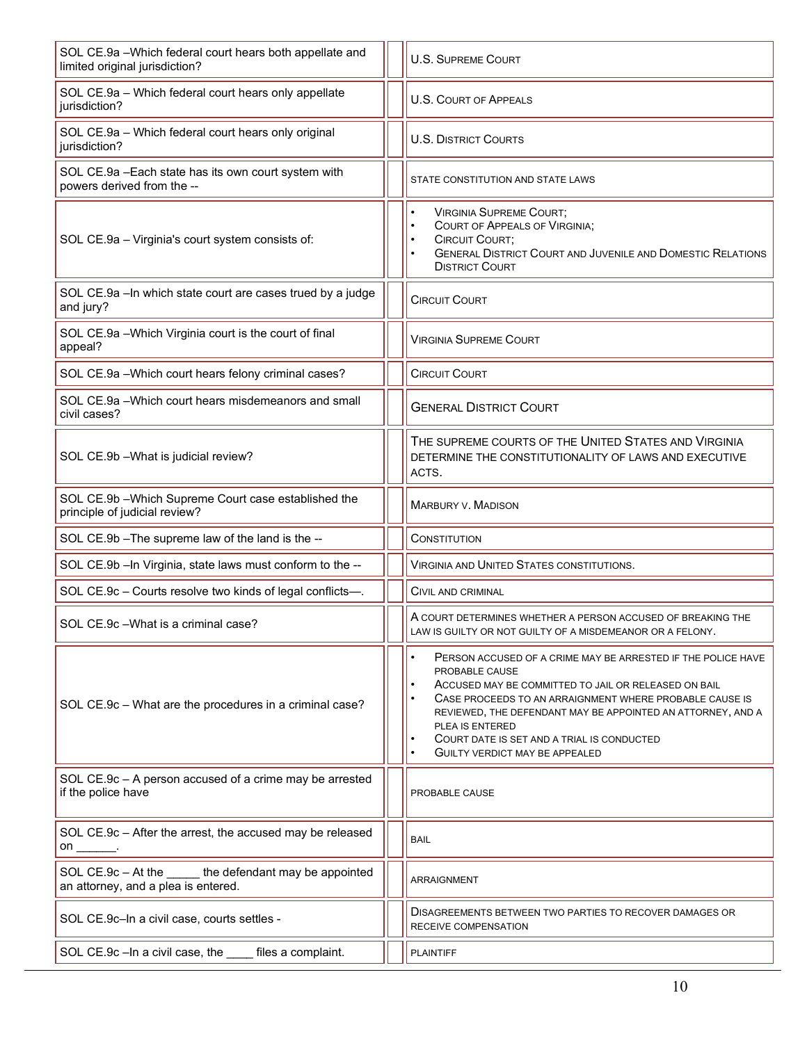| SOL CE.9a - Which federal court hears both appellate and<br>limited original jurisdiction?     | <b>U.S. SUPREME COURT</b>                                                                                                                                                                                                                                                                                                                                                  |
|------------------------------------------------------------------------------------------------|----------------------------------------------------------------------------------------------------------------------------------------------------------------------------------------------------------------------------------------------------------------------------------------------------------------------------------------------------------------------------|
| SOL CE.9a - Which federal court hears only appellate<br>jurisdiction?                          | <b>U.S. COURT OF APPEALS</b>                                                                                                                                                                                                                                                                                                                                               |
| SOL CE.9a - Which federal court hears only original<br>jurisdiction?                           | <b>U.S. DISTRICT COURTS</b>                                                                                                                                                                                                                                                                                                                                                |
| SOL CE.9a - Each state has its own court system with<br>powers derived from the --             | STATE CONSTITUTION AND STATE LAWS                                                                                                                                                                                                                                                                                                                                          |
| SOL CE.9a - Virginia's court system consists of:                                               | <b>VIRGINIA SUPREME COURT;</b><br><b>COURT OF APPEALS OF VIRGINIA;</b><br><b>CIRCUIT COURT;</b><br><b>GENERAL DISTRICT COURT AND JUVENILE AND DOMESTIC RELATIONS</b><br><b>DISTRICT COURT</b>                                                                                                                                                                              |
| SOL CE.9a - In which state court are cases trued by a judge<br>and jury?                       | <b>CIRCUIT COURT</b>                                                                                                                                                                                                                                                                                                                                                       |
| SOL CE.9a - Which Virginia court is the court of final<br>appeal?                              | <b>VIRGINIA SUPREME COURT</b>                                                                                                                                                                                                                                                                                                                                              |
| SOL CE.9a - Which court hears felony criminal cases?                                           | <b>CIRCUIT COURT</b>                                                                                                                                                                                                                                                                                                                                                       |
| SOL CE.9a - Which court hears misdemeanors and small<br>civil cases?                           | <b>GENERAL DISTRICT COURT</b>                                                                                                                                                                                                                                                                                                                                              |
| SOL CE.9b - What is judicial review?                                                           | THE SUPREME COURTS OF THE UNITED STATES AND VIRGINIA<br>DETERMINE THE CONSTITUTIONALITY OF LAWS AND EXECUTIVE<br>ACTS.                                                                                                                                                                                                                                                     |
| SOL CE.9b - Which Supreme Court case established the<br>principle of judicial review?          | <b>MARBURY V. MADISON</b>                                                                                                                                                                                                                                                                                                                                                  |
| SOL CE.9b - The supreme law of the land is the --                                              | CONSTITUTION                                                                                                                                                                                                                                                                                                                                                               |
| SOL CE.9b - In Virginia, state laws must conform to the --                                     | <b>VIRGINIA AND UNITED STATES CONSTITUTIONS.</b>                                                                                                                                                                                                                                                                                                                           |
| SOL CE.9c - Courts resolve two kinds of legal conflicts-                                       | CIVIL AND CRIMINAL                                                                                                                                                                                                                                                                                                                                                         |
| SOL CE.9c - What is a criminal case?                                                           | A COURT DETERMINES WHETHER A PERSON ACCUSED OF BREAKING THE<br>LAW IS GUILTY OR NOT GUILTY OF A MISDEMEANOR OR A FELONY.                                                                                                                                                                                                                                                   |
| SOL CE.9c - What are the procedures in a criminal case?                                        | PERSON ACCUSED OF A CRIME MAY BE ARRESTED IF THE POLICE HAVE<br>PROBABLE CAUSE<br>ACCUSED MAY BE COMMITTED TO JAIL OR RELEASED ON BAIL<br>CASE PROCEEDS TO AN ARRAIGNMENT WHERE PROBABLE CAUSE IS<br>REVIEWED, THE DEFENDANT MAY BE APPOINTED AN ATTORNEY, AND A<br>PLEA IS ENTERED<br>COURT DATE IS SET AND A TRIAL IS CONDUCTED<br><b>GUILTY VERDICT MAY BE APPEALED</b> |
| SOL CE.9c - A person accused of a crime may be arrested<br>if the police have                  | PROBABLE CAUSE                                                                                                                                                                                                                                                                                                                                                             |
| SOL CE.9c - After the arrest, the accused may be released<br>on ________.                      | <b>BAIL</b>                                                                                                                                                                                                                                                                                                                                                                |
| SOL CE.9c - At the _____ the defendant may be appointed<br>an attorney, and a plea is entered. | ARRAIGNMENT                                                                                                                                                                                                                                                                                                                                                                |
| SOL CE.9c-In a civil case, courts settles -                                                    | DISAGREEMENTS BETWEEN TWO PARTIES TO RECOVER DAMAGES OR<br>RECEIVE COMPENSATION                                                                                                                                                                                                                                                                                            |
| SOL CE.9c - In a civil case, the _____ files a complaint.                                      | <b>PLAINTIFF</b>                                                                                                                                                                                                                                                                                                                                                           |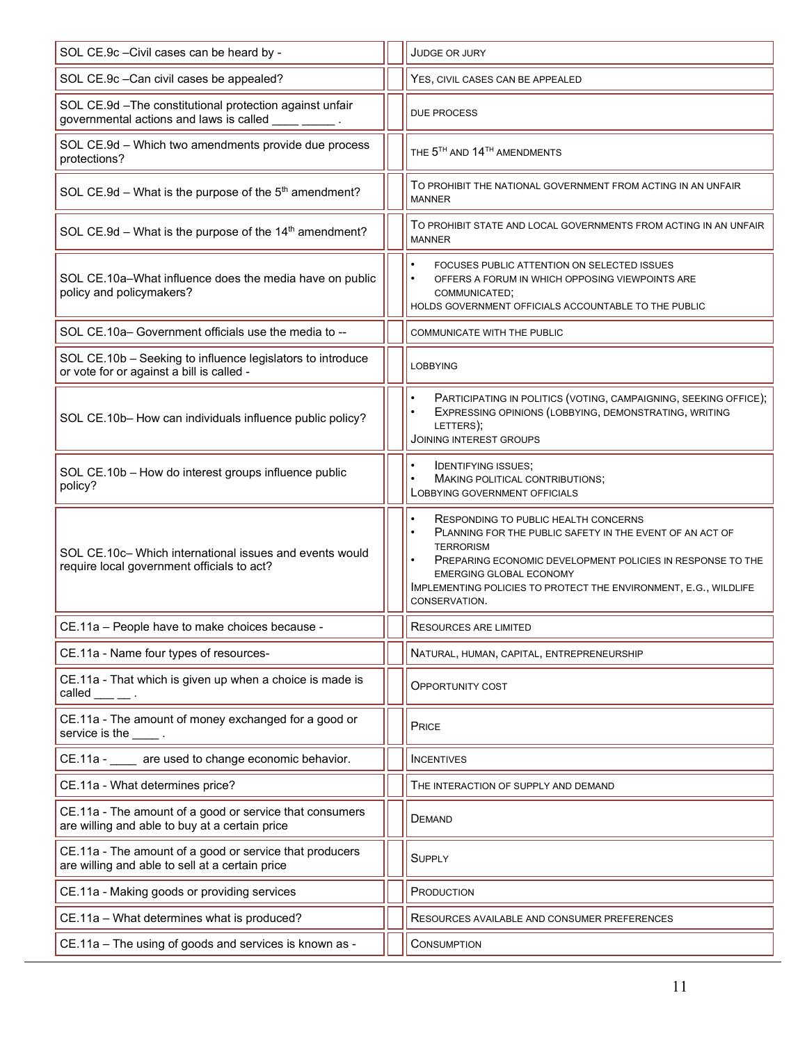| SOL CE.9c-Civil cases can be heard by -                                                                    | JUDGE OR JURY                                                                                                                                                                                                                                                                                                          |
|------------------------------------------------------------------------------------------------------------|------------------------------------------------------------------------------------------------------------------------------------------------------------------------------------------------------------------------------------------------------------------------------------------------------------------------|
| SOL CE.9c - Can civil cases be appealed?                                                                   | YES, CIVIL CASES CAN BE APPEALED                                                                                                                                                                                                                                                                                       |
| SOL CE.9d - The constitutional protection against unfair<br>governmental actions and laws is called        | DUE PROCESS                                                                                                                                                                                                                                                                                                            |
| SOL CE.9d - Which two amendments provide due process<br>protections?                                       | THE 5TH AND 14TH AMENDMENTS                                                                                                                                                                                                                                                                                            |
| SOL CE.9d - What is the purpose of the 5 <sup>th</sup> amendment?                                          | TO PROHIBIT THE NATIONAL GOVERNMENT FROM ACTING IN AN UNFAIR<br><b>MANNER</b>                                                                                                                                                                                                                                          |
| SOL CE.9d - What is the purpose of the 14 <sup>th</sup> amendment?                                         | TO PROHIBIT STATE AND LOCAL GOVERNMENTS FROM ACTING IN AN UNFAIR<br><b>MANNER</b>                                                                                                                                                                                                                                      |
| SOL CE.10a-What influence does the media have on public<br>policy and policymakers?                        | FOCUSES PUBLIC ATTENTION ON SELECTED ISSUES<br>OFFERS A FORUM IN WHICH OPPOSING VIEWPOINTS ARE<br>COMMUNICATED;<br>HOLDS GOVERNMENT OFFICIALS ACCOUNTABLE TO THE PUBLIC                                                                                                                                                |
| SOL CE.10a- Government officials use the media to --                                                       | COMMUNICATE WITH THE PUBLIC                                                                                                                                                                                                                                                                                            |
| SOL CE.10b - Seeking to influence legislators to introduce<br>or vote for or against a bill is called -    | <b>LOBBYING</b>                                                                                                                                                                                                                                                                                                        |
| SOL CE.10b- How can individuals influence public policy?                                                   | PARTICIPATING IN POLITICS (VOTING, CAMPAIGNING, SEEKING OFFICE);<br>EXPRESSING OPINIONS (LOBBYING, DEMONSTRATING, WRITING<br>LETTERS);<br><b>JOINING INTEREST GROUPS</b>                                                                                                                                               |
| SOL CE.10b - How do interest groups influence public<br>policy?                                            | <b>IDENTIFYING ISSUES;</b><br>MAKING POLITICAL CONTRIBUTIONS;<br><b>LOBBYING GOVERNMENT OFFICIALS</b>                                                                                                                                                                                                                  |
| SOL CE.10c- Which international issues and events would<br>require local government officials to act?      | RESPONDING TO PUBLIC HEALTH CONCERNS<br>$\bullet$<br>PLANNING FOR THE PUBLIC SAFETY IN THE EVENT OF AN ACT OF<br><b>TERRORISM</b><br>PREPARING ECONOMIC DEVELOPMENT POLICIES IN RESPONSE TO THE<br><b>EMERGING GLOBAL ECONOMY</b><br>IMPLEMENTING POLICIES TO PROTECT THE ENVIRONMENT, E.G., WILDLIFE<br>CONSERVATION. |
| CE.11a - People have to make choices because -                                                             | RESOURCES ARE LIMITED                                                                                                                                                                                                                                                                                                  |
| CE.11a - Name four types of resources-                                                                     | NATURAL, HUMAN, CAPITAL, ENTREPRENEURSHIP                                                                                                                                                                                                                                                                              |
| CE.11a - That which is given up when a choice is made is<br>called $\_\_\_\_\_\$ .                         | <b>OPPORTUNITY COST</b>                                                                                                                                                                                                                                                                                                |
| CE.11a - The amount of money exchanged for a good or<br>service is the _____.                              | PRICE                                                                                                                                                                                                                                                                                                                  |
| CE.11a - ____ are used to change economic behavior.                                                        | <b>INCENTIVES</b>                                                                                                                                                                                                                                                                                                      |
| CE.11a - What determines price?                                                                            | THE INTERACTION OF SUPPLY AND DEMAND                                                                                                                                                                                                                                                                                   |
| CE.11a - The amount of a good or service that consumers<br>are willing and able to buy at a certain price  | <b>DEMAND</b>                                                                                                                                                                                                                                                                                                          |
| CE.11a - The amount of a good or service that producers<br>are willing and able to sell at a certain price | <b>SUPPLY</b>                                                                                                                                                                                                                                                                                                          |
| CE.11a - Making goods or providing services                                                                | PRODUCTION                                                                                                                                                                                                                                                                                                             |
| CE.11a - What determines what is produced?                                                                 | RESOURCES AVAILABLE AND CONSUMER PREFERENCES                                                                                                                                                                                                                                                                           |
| CE.11a - The using of goods and services is known as -                                                     | <b>CONSUMPTION</b>                                                                                                                                                                                                                                                                                                     |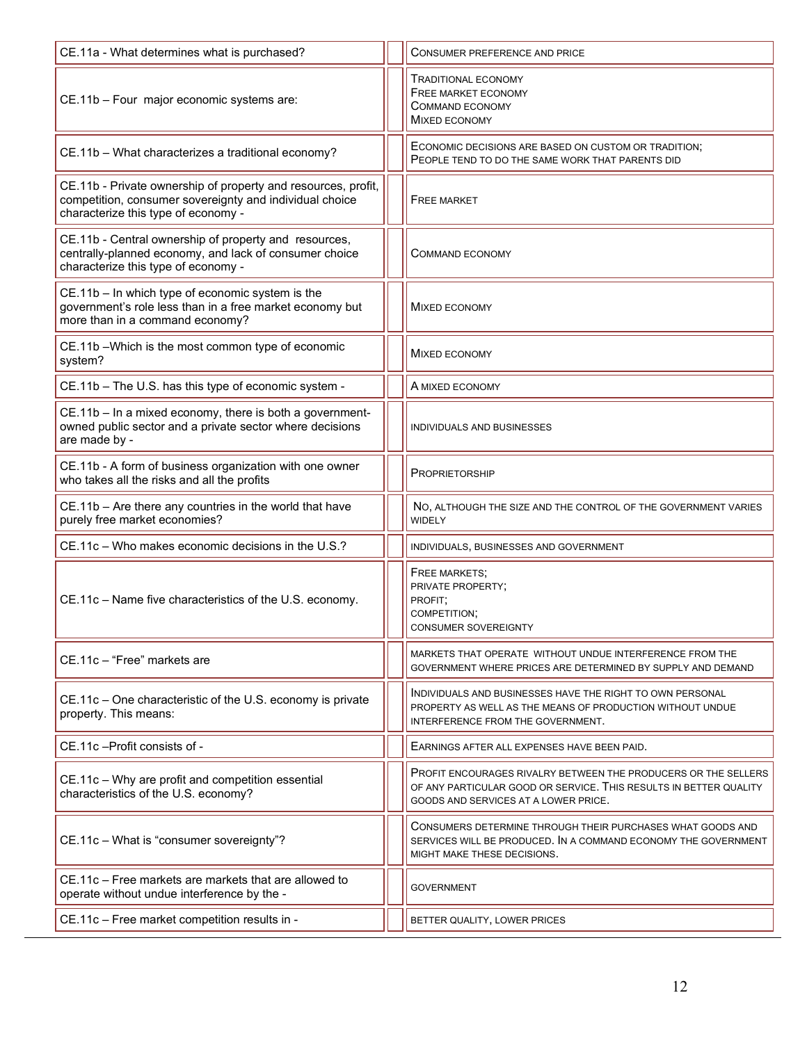| CE.11a - What determines what is purchased?                                                                                                                     | CONSUMER PREFERENCE AND PRICE                                                                                                                                               |
|-----------------------------------------------------------------------------------------------------------------------------------------------------------------|-----------------------------------------------------------------------------------------------------------------------------------------------------------------------------|
| CE.11b - Four major economic systems are:                                                                                                                       | <b>TRADITIONAL ECONOMY</b><br><b>FREE MARKET ECONOMY</b><br><b>COMMAND ECONOMY</b><br><b>MIXED ECONOMY</b>                                                                  |
| CE.11b - What characterizes a traditional economy?                                                                                                              | ECONOMIC DECISIONS ARE BASED ON CUSTOM OR TRADITION;<br>PEOPLE TEND TO DO THE SAME WORK THAT PARENTS DID                                                                    |
| CE.11b - Private ownership of property and resources, profit,<br>competition, consumer sovereignty and individual choice<br>characterize this type of economy - | <b>FREE MARKET</b>                                                                                                                                                          |
| CE.11b - Central ownership of property and resources,<br>centrally-planned economy, and lack of consumer choice<br>characterize this type of economy -          | <b>COMMAND ECONOMY</b>                                                                                                                                                      |
| CE.11b - In which type of economic system is the<br>government's role less than in a free market economy but<br>more than in a command economy?                 | <b>MIXED ECONOMY</b>                                                                                                                                                        |
| CE.11b - Which is the most common type of economic<br>system?                                                                                                   | <b>MIXED ECONOMY</b>                                                                                                                                                        |
| CE.11b - The U.S. has this type of economic system -                                                                                                            | A MIXED ECONOMY                                                                                                                                                             |
| CE.11b - In a mixed economy, there is both a government-<br>owned public sector and a private sector where decisions<br>are made by -                           | INDIVIDUALS AND BUSINESSES                                                                                                                                                  |
| CE.11b - A form of business organization with one owner<br>who takes all the risks and all the profits                                                          | PROPRIETORSHIP                                                                                                                                                              |
| CE.11b - Are there any countries in the world that have<br>purely free market economies?                                                                        | NO, ALTHOUGH THE SIZE AND THE CONTROL OF THE GOVERNMENT VARIES<br><b>WIDELY</b>                                                                                             |
| CE.11c - Who makes economic decisions in the U.S.?                                                                                                              | INDIVIDUALS, BUSINESSES AND GOVERNMENT                                                                                                                                      |
| CE.11c - Name five characteristics of the U.S. economy.                                                                                                         | FREE MARKETS;<br>PRIVATE PROPERTY;<br>PROFIT;<br>COMPETITION;<br><b>CONSUMER SOVEREIGNTY</b>                                                                                |
| CE.11c - "Free" markets are                                                                                                                                     | MARKETS THAT OPERATE WITHOUT UNDUE INTERFERENCE FROM THE<br>GOVERNMENT WHERE PRICES ARE DETERMINED BY SUPPLY AND DEMAND                                                     |
| CE.11c - One characteristic of the U.S. economy is private<br>property. This means:                                                                             | INDIVIDUALS AND BUSINESSES HAVE THE RIGHT TO OWN PERSONAL<br>PROPERTY AS WELL AS THE MEANS OF PRODUCTION WITHOUT UNDUE<br>INTERFERENCE FROM THE GOVERNMENT.                 |
| CE.11c-Profit consists of -                                                                                                                                     | EARNINGS AFTER ALL EXPENSES HAVE BEEN PAID.                                                                                                                                 |
| CE.11c - Why are profit and competition essential<br>characteristics of the U.S. economy?                                                                       | PROFIT ENCOURAGES RIVALRY BETWEEN THE PRODUCERS OR THE SELLERS<br>OF ANY PARTICULAR GOOD OR SERVICE. THIS RESULTS IN BETTER QUALITY<br>GOODS AND SERVICES AT A LOWER PRICE. |
| CE.11c - What is "consumer sovereignty"?                                                                                                                        | CONSUMERS DETERMINE THROUGH THEIR PURCHASES WHAT GOODS AND<br>SERVICES WILL BE PRODUCED. IN A COMMAND ECONOMY THE GOVERNMENT<br>MIGHT MAKE THESE DECISIONS.                 |
| CE.11c – Free markets are markets that are allowed to<br>operate without undue interference by the -                                                            | <b>GOVERNMENT</b>                                                                                                                                                           |
| CE.11c - Free market competition results in -                                                                                                                   | BETTER QUALITY, LOWER PRICES                                                                                                                                                |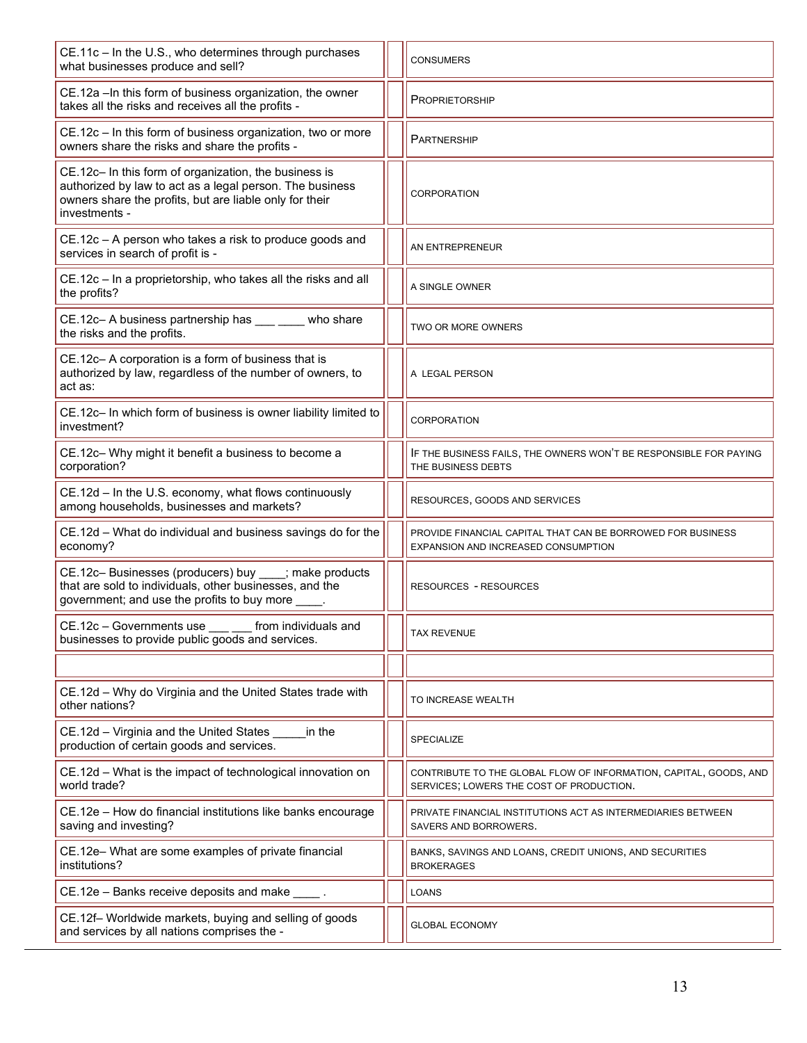| CE.11c - In the U.S., who determines through purchases<br>what businesses produce and sell?                                                                                                   | <b>CONSUMERS</b>                                                                                              |
|-----------------------------------------------------------------------------------------------------------------------------------------------------------------------------------------------|---------------------------------------------------------------------------------------------------------------|
| CE.12a - In this form of business organization, the owner<br>takes all the risks and receives all the profits -                                                                               | PROPRIETORSHIP                                                                                                |
| CE.12c - In this form of business organization, two or more<br>owners share the risks and share the profits -                                                                                 | <b>PARTNERSHIP</b>                                                                                            |
| CE.12c- In this form of organization, the business is<br>authorized by law to act as a legal person. The business<br>owners share the profits, but are liable only for their<br>investments - | <b>CORPORATION</b>                                                                                            |
| CE.12c - A person who takes a risk to produce goods and<br>services in search of profit is -                                                                                                  | AN ENTREPRENEUR                                                                                               |
| CE.12c - In a proprietorship, who takes all the risks and all<br>the profits?                                                                                                                 | A SINGLE OWNER                                                                                                |
| CE.12c- A business partnership has ___ ___ who share<br>the risks and the profits.                                                                                                            | <b>TWO OR MORE OWNERS</b>                                                                                     |
| CE.12c- A corporation is a form of business that is<br>authorized by law, regardless of the number of owners, to<br>act as:                                                                   | A LEGAL PERSON                                                                                                |
| CE.12c- In which form of business is owner liability limited to<br>investment?                                                                                                                | <b>CORPORATION</b>                                                                                            |
| CE.12c- Why might it benefit a business to become a<br>corporation?                                                                                                                           | IF THE BUSINESS FAILS, THE OWNERS WON'T BE RESPONSIBLE FOR PAYING<br>THE BUSINESS DEBTS                       |
| CE.12d - In the U.S. economy, what flows continuously<br>among households, businesses and markets?                                                                                            | RESOURCES, GOODS AND SERVICES                                                                                 |
| CE.12d - What do individual and business savings do for the<br>economy?                                                                                                                       | PROVIDE FINANCIAL CAPITAL THAT CAN BE BORROWED FOR BUSINESS<br>EXPANSION AND INCREASED CONSUMPTION            |
| CE.12c-Businesses (producers) buy ___; make products<br>that are sold to individuals, other businesses, and the<br>government; and use the profits to buy more                                | RESOURCES - RESOURCES                                                                                         |
| CE.12c - Governments use<br>from individuals and<br>businesses to provide public goods and services.                                                                                          | TAX REVENUE                                                                                                   |
|                                                                                                                                                                                               |                                                                                                               |
| CE.12d - Why do Virginia and the United States trade with<br>other nations?                                                                                                                   | TO INCREASE WEALTH                                                                                            |
| CE.12d - Virginia and the United States<br>in the<br>production of certain goods and services.                                                                                                | SPECIALIZE                                                                                                    |
| CE.12d - What is the impact of technological innovation on<br>world trade?                                                                                                                    | CONTRIBUTE TO THE GLOBAL FLOW OF INFORMATION, CAPITAL, GOODS, AND<br>SERVICES; LOWERS THE COST OF PRODUCTION. |
| CE.12e - How do financial institutions like banks encourage<br>saving and investing?                                                                                                          | PRIVATE FINANCIAL INSTITUTIONS ACT AS INTERMEDIARIES BETWEEN<br>SAVERS AND BORROWERS.                         |
| CE.12e- What are some examples of private financial<br>institutions?                                                                                                                          | BANKS, SAVINGS AND LOANS, CREDIT UNIONS, AND SECURITIES<br><b>BROKERAGES</b>                                  |
| CE.12e - Banks receive deposits and make _____.                                                                                                                                               | LOANS                                                                                                         |
| CE.12f- Worldwide markets, buying and selling of goods<br>and services by all nations comprises the -                                                                                         | <b>GLOBAL ECONOMY</b>                                                                                         |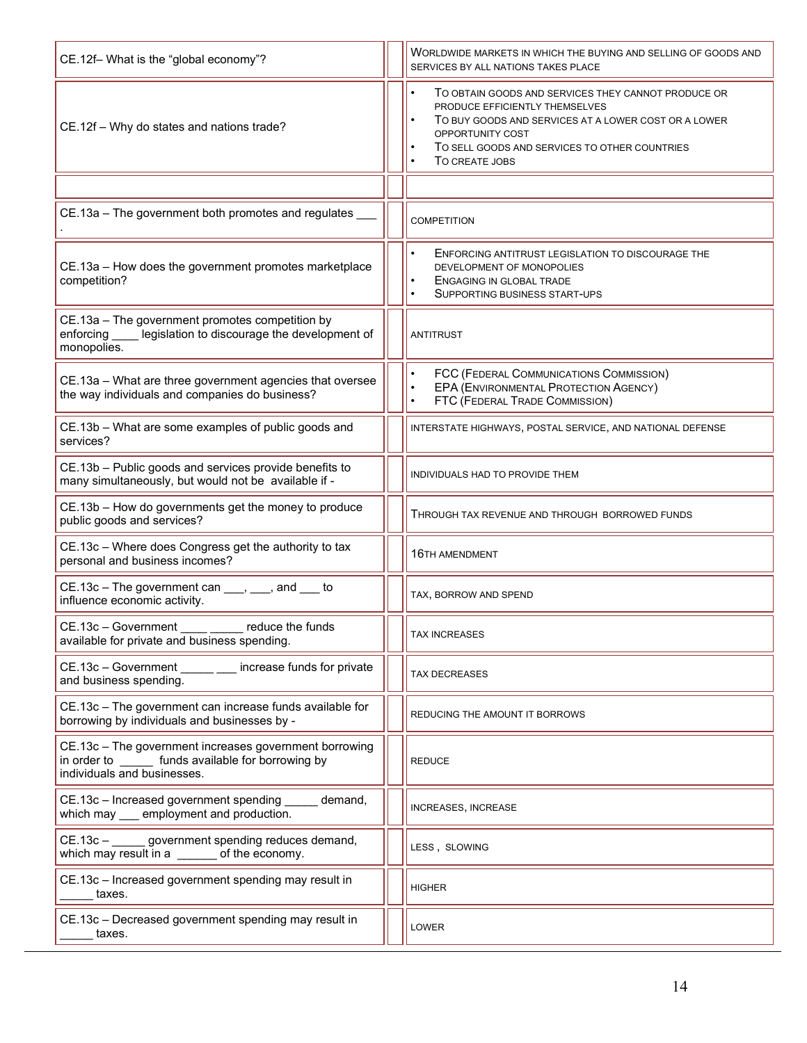| CE.12f- What is the "global economy"?                                                                                                        | WORLDWIDE MARKETS IN WHICH THE BUYING AND SELLING OF GOODS AND<br>SERVICES BY ALL NATIONS TAKES PLACE                                                                                                                                |
|----------------------------------------------------------------------------------------------------------------------------------------------|--------------------------------------------------------------------------------------------------------------------------------------------------------------------------------------------------------------------------------------|
| CE.12f - Why do states and nations trade?                                                                                                    | TO OBTAIN GOODS AND SERVICES THEY CANNOT PRODUCE OR<br>PRODUCE EFFICIENTLY THEMSELVES<br>TO BUY GOODS AND SERVICES AT A LOWER COST OR A LOWER<br>OPPORTUNITY COST<br>TO SELL GOODS AND SERVICES TO OTHER COUNTRIES<br>TO CREATE JOBS |
|                                                                                                                                              |                                                                                                                                                                                                                                      |
| CE.13a - The government both promotes and regulates                                                                                          | <b>COMPETITION</b>                                                                                                                                                                                                                   |
| CE.13a - How does the government promotes marketplace<br>competition?                                                                        | ENFORCING ANTITRUST LEGISLATION TO DISCOURAGE THE<br>DEVELOPMENT OF MONOPOLIES<br>ENGAGING IN GLOBAL TRADE<br>SUPPORTING BUSINESS START-UPS                                                                                          |
| CE.13a - The government promotes competition by<br>legislation to discourage the development of<br>enforcing<br>monopolies.                  | <b>ANTITRUST</b>                                                                                                                                                                                                                     |
| CE.13a - What are three government agencies that oversee<br>the way individuals and companies do business?                                   | FCC (FEDERAL COMMUNICATIONS COMMISSION)<br>EPA (ENVIRONMENTAL PROTECTION AGENCY)<br>FTC (FEDERAL TRADE COMMISSION)                                                                                                                   |
| CE.13b - What are some examples of public goods and<br>services?                                                                             | INTERSTATE HIGHWAYS, POSTAL SERVICE, AND NATIONAL DEFENSE                                                                                                                                                                            |
| CE.13b - Public goods and services provide benefits to<br>many simultaneously, but would not be available if -                               | INDIVIDUALS HAD TO PROVIDE THEM                                                                                                                                                                                                      |
| CE.13b - How do governments get the money to produce<br>public goods and services?                                                           | THROUGH TAX REVENUE AND THROUGH BORROWED FUNDS                                                                                                                                                                                       |
| CE.13c - Where does Congress get the authority to tax<br>personal and business incomes?                                                      | <b>16TH AMENDMENT</b>                                                                                                                                                                                                                |
| CE.13c - The government can ___, ___, and ___ to<br>influence economic activity.                                                             | TAX, BORROW AND SPEND                                                                                                                                                                                                                |
| CE.13c - Government<br>reduce the funds<br>available for private and business spending.                                                      | <b>TAX INCREASES</b>                                                                                                                                                                                                                 |
| CE.13c - Government increase funds for private<br>and business spending.                                                                     | <b>TAX DECREASES</b>                                                                                                                                                                                                                 |
| CE.13c - The government can increase funds available for<br>borrowing by individuals and businesses by -                                     | REDUCING THE AMOUNT IT BORROWS                                                                                                                                                                                                       |
| CE.13c - The government increases government borrowing<br>in order to ______ funds available for borrowing by<br>individuals and businesses. | <b>REDUCE</b>                                                                                                                                                                                                                        |
| CE.13c - Increased government spending<br>demand,<br>which may __ employment and production.                                                 | INCREASES, INCREASE                                                                                                                                                                                                                  |
| CE.13c - government spending reduces demand,<br>which may result in a ______ of the economy.                                                 | LESS, SLOWING                                                                                                                                                                                                                        |
| CE.13c - Increased government spending may result in<br>taxes.                                                                               | <b>HIGHER</b>                                                                                                                                                                                                                        |
| CE.13c - Decreased government spending may result in<br>taxes.                                                                               | <b>LOWER</b>                                                                                                                                                                                                                         |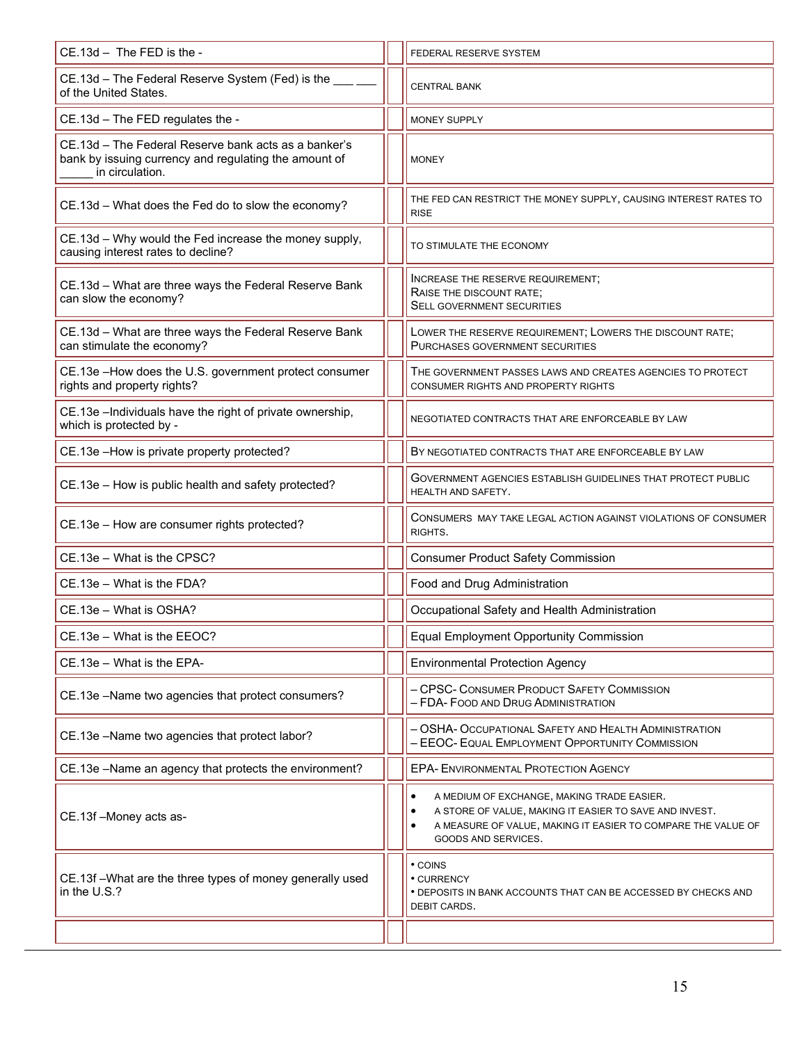| $CE.13d - The FED is the -$                                                                                                      | FEDERAL RESERVE SYSTEM                                                                                                                                                                                                             |
|----------------------------------------------------------------------------------------------------------------------------------|------------------------------------------------------------------------------------------------------------------------------------------------------------------------------------------------------------------------------------|
| CE.13d - The Federal Reserve System (Fed) is the<br>of the United States.                                                        | <b>CENTRAL BANK</b>                                                                                                                                                                                                                |
| CE.13d - The FED regulates the -                                                                                                 | <b>MONEY SUPPLY</b>                                                                                                                                                                                                                |
| CE.13d - The Federal Reserve bank acts as a banker's<br>bank by issuing currency and regulating the amount of<br>in circulation. | <b>MONEY</b>                                                                                                                                                                                                                       |
| CE.13d - What does the Fed do to slow the economy?                                                                               | THE FED CAN RESTRICT THE MONEY SUPPLY, CAUSING INTEREST RATES TO<br><b>RISE</b>                                                                                                                                                    |
| CE.13d - Why would the Fed increase the money supply,<br>causing interest rates to decline?                                      | TO STIMULATE THE ECONOMY                                                                                                                                                                                                           |
| CE.13d - What are three ways the Federal Reserve Bank<br>can slow the economy?                                                   | INCREASE THE RESERVE REQUIREMENT;<br>RAISE THE DISCOUNT RATE;<br><b>SELL GOVERNMENT SECURITIES</b>                                                                                                                                 |
| CE.13d - What are three ways the Federal Reserve Bank<br>can stimulate the economy?                                              | LOWER THE RESERVE REQUIREMENT; LOWERS THE DISCOUNT RATE;<br>PURCHASES GOVERNMENT SECURITIES                                                                                                                                        |
| CE.13e -How does the U.S. government protect consumer<br>rights and property rights?                                             | THE GOVERNMENT PASSES LAWS AND CREATES AGENCIES TO PROTECT<br>CONSUMER RIGHTS AND PROPERTY RIGHTS                                                                                                                                  |
| CE.13e - Individuals have the right of private ownership,<br>which is protected by -                                             | NEGOTIATED CONTRACTS THAT ARE ENFORCEABLE BY LAW                                                                                                                                                                                   |
| CE.13e -How is private property protected?                                                                                       | BY NEGOTIATED CONTRACTS THAT ARE ENFORCEABLE BY LAW                                                                                                                                                                                |
| CE.13e - How is public health and safety protected?                                                                              | GOVERNMENT AGENCIES ESTABLISH GUIDELINES THAT PROTECT PUBLIC<br>HEALTH AND SAFETY.                                                                                                                                                 |
| CE.13e - How are consumer rights protected?                                                                                      | CONSUMERS MAY TAKE LEGAL ACTION AGAINST VIOLATIONS OF CONSUMER<br>RIGHTS.                                                                                                                                                          |
| CE.13e - What is the CPSC?                                                                                                       | <b>Consumer Product Safety Commission</b>                                                                                                                                                                                          |
| CE.13e - What is the FDA?                                                                                                        | Food and Drug Administration                                                                                                                                                                                                       |
| CE.13e - What is OSHA?                                                                                                           | Occupational Safety and Health Administration                                                                                                                                                                                      |
| CE.13e - What is the EEOC?                                                                                                       | <b>Equal Employment Opportunity Commission</b>                                                                                                                                                                                     |
| CE.13e - What is the EPA-                                                                                                        | <b>Environmental Protection Agency</b>                                                                                                                                                                                             |
| CE.13e-Name two agencies that protect consumers?                                                                                 | - CPSC- CONSUMER PRODUCT SAFETY COMMISSION<br>- FDA- FOOD AND DRUG ADMINISTRATION                                                                                                                                                  |
| CE.13e -Name two agencies that protect labor?                                                                                    | - OSHA- OCCUPATIONAL SAFETY AND HEALTH ADMINISTRATION<br>- EEOC- EQUAL EMPLOYMENT OPPORTUNITY COMMISSION                                                                                                                           |
| CE.13e -Name an agency that protects the environment?                                                                            | <b>EPA- ENVIRONMENTAL PROTECTION AGENCY</b>                                                                                                                                                                                        |
| CE.13f-Money acts as-                                                                                                            | A MEDIUM OF EXCHANGE, MAKING TRADE EASIER.<br>$\bullet$<br>A STORE OF VALUE, MAKING IT EASIER TO SAVE AND INVEST.<br>$\bullet$<br>A MEASURE OF VALUE, MAKING IT EASIER TO COMPARE THE VALUE OF<br>$\bullet$<br>GOODS AND SERVICES. |
| CE.13f - What are the three types of money generally used<br>in the U.S.?                                                        | • COINS<br>• CURRENCY<br>* DEPOSITS IN BANK ACCOUNTS THAT CAN BE ACCESSED BY CHECKS AND<br>DEBIT CARDS.                                                                                                                            |
|                                                                                                                                  |                                                                                                                                                                                                                                    |